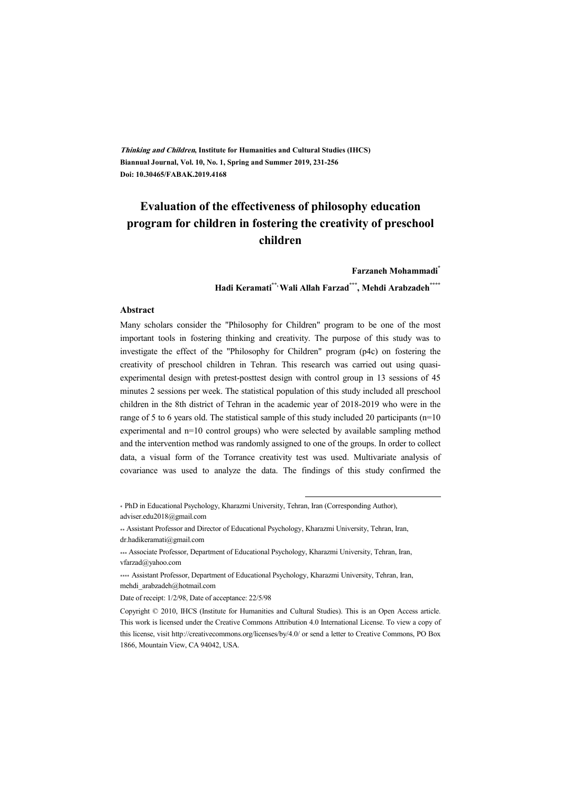**Thinking and Children, Institute for Humanities and Cultural Studies (IHCS) Biannual Journal, Vol. 10, No. 1, Spring and Summer 2019, 231-256 Doi: 10.30465/FABAK.2019.4168** 

# **Evaluation of the effectiveness of philosophy education program for children in fostering the creativity of preschool children**

**Farzaneh Mohammadi\***

**Hadi Keramati\*\*, Wali Allah Farzad\*\*\*, Mehdi Arabzadeh\*\*\*\***

#### **Abstract**

Many scholars consider the "Philosophy for Children" program to be one of the most important tools in fostering thinking and creativity. The purpose of this study was to investigate the effect of the "Philosophy for Children" program (p4c) on fostering the creativity of preschool children in Tehran. This research was carried out using quasiexperimental design with pretest-posttest design with control group in 13 sessions of 45 minutes 2 sessions per week. The statistical population of this study included all preschool children in the 8th district of Tehran in the academic year of 2018-2019 who were in the range of 5 to 6 years old. The statistical sample of this study included 20 participants (n=10 experimental and n=10 control groups) who were selected by available sampling method and the intervention method was randomly assigned to one of the groups. In order to collect data, a visual form of the Torrance creativity test was used. Multivariate analysis of covariance was used to analyze the data. The findings of this study confirmed the

.

\* PhD in Educational Psychology, Kharazmi University, Tehran, Iran (Corresponding Author), adviser.edu2018@gmail.com

\*\* Assistant Professor and Director of Educational Psychology, Kharazmi University, Tehran, Iran, dr.hadikeramati@gmail.com

\*\*\* Associate Professor, Department of Educational Psychology, Kharazmi University, Tehran, Iran, vfarzad@yahoo.com

\*\*\*\* Assistant Professor, Department of Educational Psychology, Kharazmi University, Tehran, Iran, mehdi\_arabzadeh@hotmail.com

Date of receipt: 1/2/98, Date of acceptance: 22/5/98

Copyright © 2010, IHCS (Institute for Humanities and Cultural Studies). This is an Open Access article. This work is licensed under the Creative Commons Attribution 4.0 International License. To view a copy of this license, visit http://creativecommons.org/licenses/by/4.0/ or send a letter to Creative Commons, PO Box 1866, Mountain View, CA 94042, USA.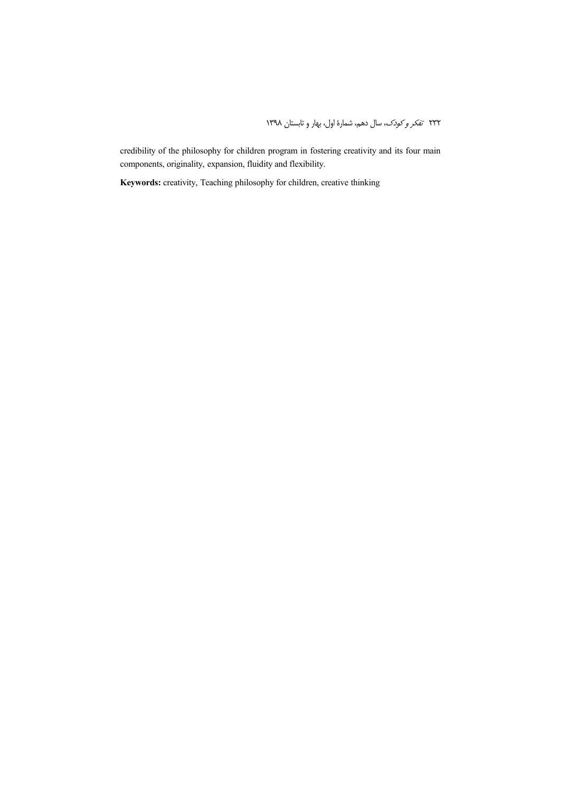credibility of the philosophy for children program in fostering creativity and its four main components, originality, expansion, fluidity and flexibility.

**Keywords:** creativity, Teaching philosophy for children, creative thinking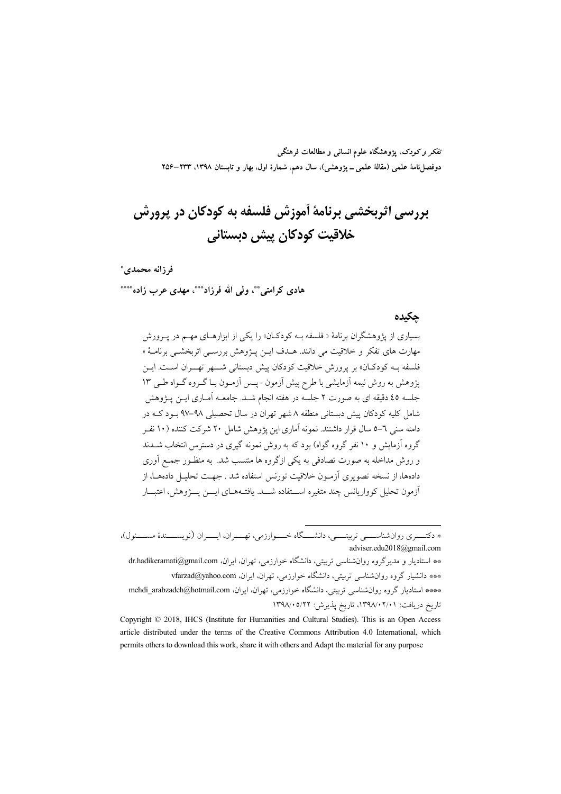تفکر و کودک، یژوهشگاه علوم انسانی و مطالعات فرهنگی دوفصلiامهٔ علمی (مقالهٔ علمی ــ پژوهشی)، سال دهم، شمارهٔ اول، بهار و تابستان ۱۳۹۸، ۲۳۳–۲۵۶

# بررسی اثریخشی برنامهٔ آموزش فلسفه به کودکان در پرورش خلاقيت كودكان پيش ديستاني

#### فرزانه محمدي\*

هادی کرامتی\*\*، ولی الله فرزاد\*\*\*، مهدی عرب زاده\*\*\*

#### حكىدە

بسیاری از یژوهشگران برنامهٔ « فلسفه بـه کودکـان» را یکی از ابزارهـای مهـم در یــرورش مهارت هاي تفكر و خلاقيت مي دانند. هــدف ايــن پــژوهش بررســي اثربخشــي برنامــهٔ « فلسفه بـه کودکــان» بر پرورش خلاقیت کودکان پیش دبستانی شــــهر تهـــران اســت. ایــن یژوهش به روش نیمه آزمایشی با طرح پیش آزمون - پیس آزمون بیا گیروه گیواه طبی ۱۳ جلسه ٤٥ دقیقه ای به صورت ٢ جلسه در هفته انجام شـد. جامعــه آمــاری ایــن یــژوهش شامل کلیه کودکان پیش دبستانی منطقه ۸ شهر تهران در سال تحصیلی ۹۸–۹۷ بـود کـه در دامنه سنی ٦–٥ سال قرار داشتند. نمونه آماری این یژوهش شامل ۲۰ شرکت کننده (۱۰ نفـر گروه آزمایش و ۱۰ نفر گروه گواه) بود که به روش نمونه گیری در دسترس انتخاب شــدند و روش مداخله به صورت تصادفی به یکی ازگروه ها منتسب شد. به منظـور جمـع اَوری دادهها، از نسخه تصویری آزمـون خلاقیت تورنس استفاده شد . جهـت تحلیــل دادههــا، از آزمون تحلیل کوواریانس چند متغیره استفاده شـــد. یافتـههـای ایـــن پـــۋوهش، اعتبـــار

<sup>\*</sup> دکتـــــري روانشناســــــي تربيتــــــي، دانشـــــگاه خـــــوارزمي، تهـــــران، ايـــــران (نويســـــندهٔ مســـــئول)، adviser.edu2018@gmail.com

<sup>\*\*</sup> استادیار و مدیرگروه روانشناسی تربیتی، دانشگاه خوارزمی، تهران، ایران، dr.hadikeramati@gmail.com \*\*\* دانشیار گروه روانشناسی تربیتی، دانشگاه خوارزمی، تهران، ایران، vfarzad@yahoo.com \*\*\*\* استادیار گروه روان شناسی تربیتی، دانشگاه خوارزمی، تهران، ایران، mehdi\_arabzadeh@hotmail.com تاريخ دريافت: ٠٢/٠٢/٠٢/٠٢٨، تاريخ يذيرش: ١٣٩٨/٠٥/٢٢

Copyright © 2018, IHCS (Institute for Humanities and Cultural Studies). This is an Open Access article distributed under the terms of the Creative Commons Attribution 4.0 International, which permits others to download this work, share it with others and Adapt the material for any purpose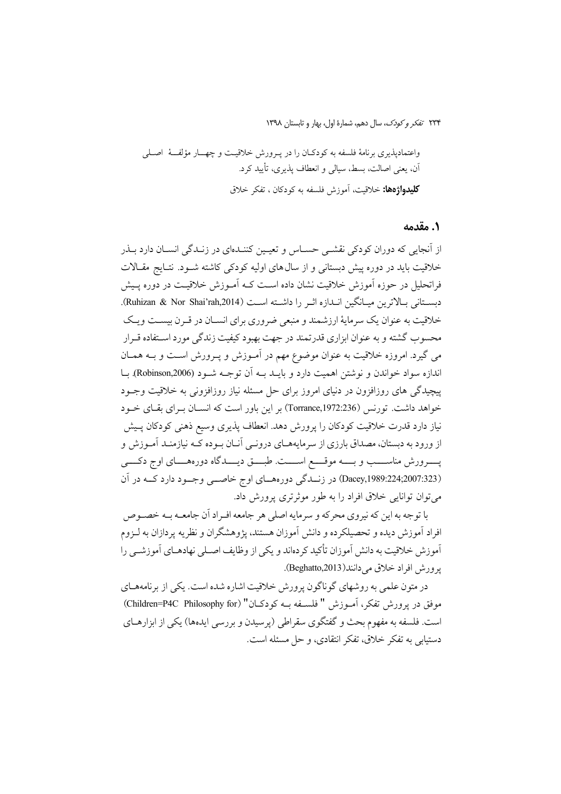#### **۱. مقدمه**

از انجایی که دوران کودکی نقشـی حسـاس و تعیـین کننـدهای در زنـدگی انسـان دارد بـذر خلاقیت باید در دوره پیش دبستانی و از سال های اولیه کودکی کاشته شـود. نتـایج مقـالات فراتحلیل در حوزه آموزش خلاقیت نشان داده اسـت کــه آمــوزش خلاقیــت در دوره پــیش دبستاني بالاترين ميـانگين انـدازه اثـر را داشـته اسـت (Ruhizan & Nor Shai'rah,2014). خلاقیت به عنوان یک سرمایهٔ ارزشمند و منبعی ضروری برای انســان در قــرن بیســت ویــک محسوب گشته و به عنوان ابزاري قدرتمند در جهت بهبود کيفيت زندگي مورد اسـتفاده قـرار می گیرد. امروزه خلاقیت به عنوان موضوع مهم در آمـوزش و پـرورش اسـت و بــه همـان اندازه سواد خواندن و نوشتن اهمیت دارد و بایـد بـه آن توجـه شـود (Robinson,2006). بـا پیچیدگی های روزافزون در دنیای امروز برای حل مسئله نیاز روزافزونی به خلاقیت وجـود خواهد داشت. تورنس (Torrance,1972:236) بر این باور است که انســان بــرای بقــای خــود نیاز دارد قدرت خلاقیت کودکان را پرورش دهد. انعطاف پذیری وسیع ذهنی کودکان پـیش از ورود به دبستان، مصداق بارزی از سرمایههـای درونـی آنـان بـوده کــه نیازمنـد آمـوزش و پــــــرورش مناســـــب و بــــــه موقـــــع اســـــت طبــــق ديــــــدگاه دورههـــــاي اوج دكـــــي (Dacey,1989:224;2007:323) در زنسدگی دورههای اوج خاصمی وجود دارد کـه در آن مي توان توانايي خلاق افراد را به طور موثرتري پرورش داد.

با توجه به این که نیروی محرکه و سرمایه اصلی هر جامعه افـراد آن جامعــه بــه خصــوص افراد آموزش دیده و تحصیلکرده و دانش آموزان هستند، پژوهشگران و نظریه پردازان به لــزوم آموزش خلاقیت به دانش آموزان تأکید کردهاند و یکی از وظایف اصـلی نهادهـای آموزشــی را یو ورش افراد خلاق می دانند(Beghatto,2013).

در متون علمی به روشهای گوناگون پرورش خلاقیت اشاره شده است. یکی از برنامههـای موفق در يوورش تفكر، أمبوزش " فلسبغه بـه كودكـان" (Children=P4C Philosophy for) است. فلسفه به مفهوم بحث و گفتگوی سقراطی (پرسیدن و بررسی ایدهها) یکی از ابزارهــای دستبايي به تفكر خلاق، تفكر انتقادي، و حل مسئله است.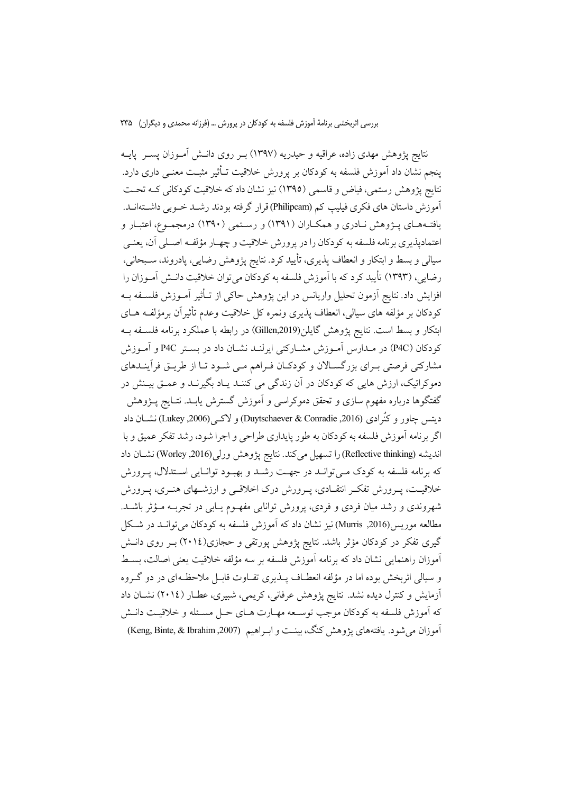نتايج يژوهش مهدي زاده، عراقيه و حيدريه (١٣٩٧) بـر روي دانــش آمــوزان يســر يايــه ينجم نشان داد آموزش فلسفه به كودكان بر يرورش خلاقيت تـأثير مثبـت معنـي داري دارد. نتايج پژوهش رستمي، فياض و قاسمي (١٣٩٥) نيز نشان داد كه خلاقيت كودكاني كـه تحـت آموزش داستان های فکری فیلیپ کم (Philipcam)قرار گرفته بودند رشـد خـوبی داشــتهانــد. یافتـههـای پــژوهش نــادری و همکــاران (۱۳۹۱) و رسـتمی (۱۳۹۰) درمجمــوع، اعتبــار و اعتماديذيري برنامه فلسفه به كودكان را در يرورش خلاقيت و چهـار مؤلفـه اصـلي أن، يعنـي سیالی و بسط و ابتکار و انعطاف پذیری، تأیید کرد. نتایج پژوهش رضایی، پادروند، سـبحانی، رضايي، (١٣٩٣) تأييد كرد كه با آموزش فلسفه به كودكان مي توان خلاقيت دانـش أمـوزان را افزایش داد. نتایج آزمون تحلیل واریانس در این پژوهش حاکی از تـأثیر آمـوزش فلســفه بــه كودكان بر مؤلفه هاي سيالي، انعطاف پذيري ونمره كل خلاقيت وعدم تأثيران برمؤلفـه هــاي ابتکار و بسط است. نتایج پژوهش گایلن(Gillen,2019) در رابطه با عملکرد برنامه فلسـفه بــه كودكان (P4C) در مــدارس آمــوزش مشــاركتى ايرلنــد نشــان داد در بســتر P4C و آمــوزش مشارکتی فرصتی بـرای بزرگسـالان و کودکـان فـراهم مـی شـود تـا از طریــق فرآینــدهای دموکراتیک، ارزش هایی که کودکان در ان زندگی می کننــد یــاد بگیرنــد و عمــق بیــنش در گفتگوها درباره مفهوم سازی و تحقق دموکراسی و اموزش گسترش یابـد. نتـایج پــژوهش ديتس چاور و كُرادي (2016, Duytschaever & Conradie) و لاكبي (Lukey ,2006) نشــان داد اگر برنامه آموزش فلسفه به كودكان به طور پايداري طراحي و اجرا شود، رشد تفكر عميق و با انديشه (Reflective thinking) را تسهيل مي كند. نتايج يژوهش ورلي (Worley ,2016) نشــان داد كه برنامه فلسفه به كودك مـي توانــد در جهــت رشــد و بهبــود توانــايي اســتدلال، يــرورش خلاقیـت، پــرورش تفکــر انتقــادی، پــرورش درک اخلاقــی و ارزشــهای هنــری، پــرورش شهروندی و رشد میان فردی و فردی، پرورش توانایی مفهـوم یـابی در تجربـه مـؤثر باشــد. مطالعه موريس(2016, Murris) نيز نشان داد كه آموزش فلسفه به كودكان مي توانــد در شــكل گیری تفکر در کودکان مؤثر باشد. نتایج پژوهش پورتقی و حجازی(۲۰۱٤) بـر روی دانــش آموزان راهنمایی نشان داد که برنامه آموزش فلسفه بر سه مؤلفه خلاقیت یعنی اصالت، بسـط و سيالي اثربخش بوده اما در مؤلفه انعطـاف پــذيري تفــاوت قابــل ملاحظــهاي در دو گــروه أزمايش و كنترل ديده نشد. نتايج پژوهش عرفاني، كريمي، شبيري، عطـار (٢٠١٤) نشــان داد که اَموزش فلسفه به کودکان موجب توسـعه مهـارت هـای حـل مسـئله و خلاقیـت دانـش آموزان می شود. یافتههای پژوهش کنگ، بینت و اب اهیم (Keng, Binte, & Ibrahim ,2007)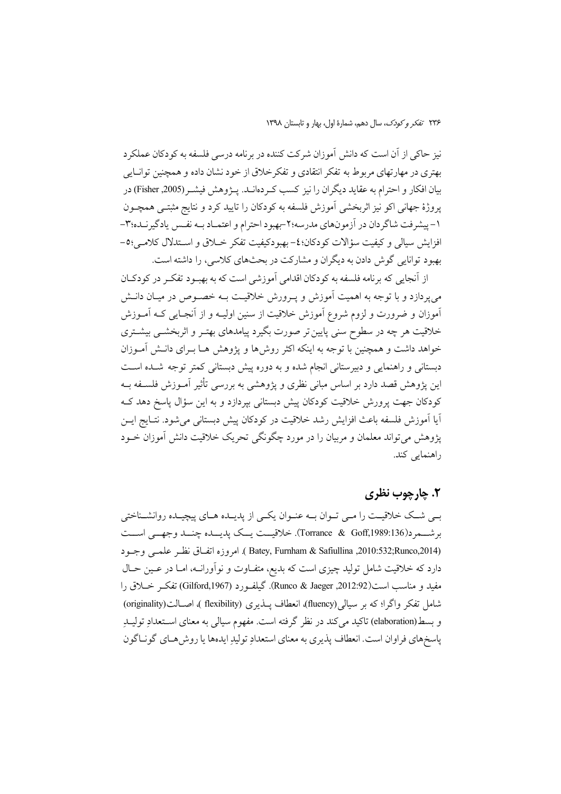نیز حاکی از آن است که دانش آموزان شرکت کننده در برنامه درسی فلسفه به کودکان عملکرد بهتري در مهارتهاي مربوط به تفكر انتقادي و تفكر خلاق از خود نشان داده و همچنين توانــايي بيان افكار و احترام به عقايد ديگران را نيز كسب كـردهانــد. پــژوهش فيشــر(Fisher ,2005) در پروژهٔ جهانی اکو نیز اثربخشی آموزش فلسفه به کودکان را تایید کرد و نتایج مثبتـی همچـون ۱- پیشرفت شاگردان در آزمونهای مدرسه؛۲-بهبود احترام و اعتمـاد بـه نفـس یادگیرنـده؛۳-افزايش سيالي و كيفيت سؤالات كودكان؛٤- بهبودكيفيت تفكر خــلاق و اســتدلال كلامــي؛٥-بهبود توانایی گوش دادن به دیگران و مشارکت در بحثهای کلاسی، را داشته است.

از آنجایی که برنامه فلسفه به کودکان اقدامی آموزشی است که به بهبود تفک در کودکـان می پردازد و با توجه به اهمیت آموزش و پـرورش خلاقیـت بـه خصـوص در میـان دانـش آموزان و ضرورت و لزوم شروع آموزش خلاقیت از سنین اولیـه و از آنجـایی کـه آمــوزش خلاقیت هر چه در سطوح سنی پایین تر صورت بگیرد پیامدهای بهتـر و اثربخشــی بیشــتری خواهد داشت و همچنین با توجه به اینکه اکثر روشها و پژوهش هـا بـرای دانـش آمـوزان دبستانی و راهنمایی و دبیرستانی انجام شده و به دوره پیش دبستانی کمتر توجه شده است این پژوهش قصد دارد بر اساس مبانی نظری و پژوهشی به بررسی تأثیر آمـوزش فلســفه بــه کودکان جهت پرورش خلاقیت کودکان پیش دبستانی بپردازد و به این سؤال پاسخ دهد ک آيا آموزش فلسفه باعث افزايش رشد خلاقيت در كودكان پيش دبستاني مي شود. نتـايج ايــن پژوهش میتواند معلمان و مربیان را در مورد چگونگی تحریک خلاقیت دانش آموزان خــود راهنمایی کند.

## ٢. ڇارچوب نظري

بے شک خلاقیت را مے توان به عنوان یکی از پدیلده های پیچیلده روانشناختی بر شعر د(Torrance & Goff,1989:136). خلاقیست یسک پدیسده چنسد وجهسی اسست (Batey, Furnham & Safiullina ,2010:532;Runco,2014). امروزه اتفاق نظر علمي وجـود دارد که خلاقیت شامل تولید چیزی است که بدیع، متفـاوت و نوآورانـه، امـا در عـین حـال مفيد و مناسب است(2012:92, Runco & Jaeger). گيلفـورد (Gilford,1967) تفكـر خــلاق را شامل تفكر واگرا؛ كه بر سيالي (fluency)، انعطاف يــذيري (flexibility )، اصــالت(originality) و بسط(elaboration) تاکید می کند در نظر گرفته است. مفهوم سیالی به معنای استعدادِ تولیـدِ ياسخهاي فراوان است. انعطاف يذيري به معناي استعدادٍ توليدِ ايدهها يا روش هـاي گونـاگون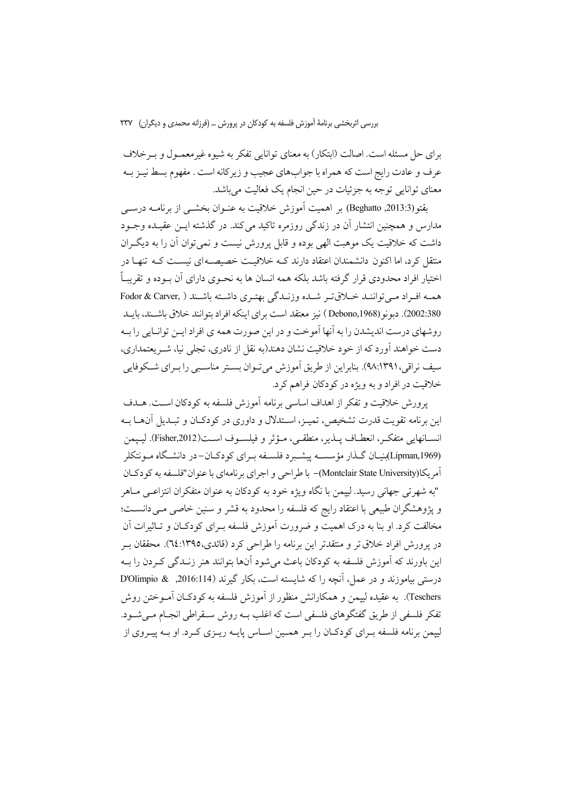برای حل مسئله است. اصالت (ابتکار) به معنای توانایی تفکر به شیوه غیرمعمـول و بـرخلاف عرف و عادت رایج است که همراه با جوابهای عجیب و زیرکانه است . مفهوم بسط نیـز بــه معنای توانایی توجه به جزئیات در حین انجام یک فعالیت میباشد.

يقتو (2013.3, Beghatto) بر اهميت آموزش خلاقيت به عنـوان بخشـي از برنامــه درسـي مدارس و همچنین انتشار آن در زندگی روزمره تاکید می کند. در گذشته ایــن عقیــده وجــود داشت که خلاقیت یک موهبت الهی بوده و قابل پرورش نیست و نمی توان آن را به دیگ ان متقل کرد، اما اکنون دانشمندان اعتقاد دارند کـه خلاقیـت خصیصــه|ی نیســت کــه تنهــا در اختیار افراد محدودی قرار گرفته باشد بلکه همه انسان ها به نحـوی دارای آن بــوده و تقریبـاً همـه افـراد مـي تواننـد خـلاق تـر شـده وزنـدگي بهتـري داشـته باشـند ( Fodor & Carver, 2002:380). دبونو (Debono,1968 ) نیز معتقد است برای اینکه افراد بتوانند خلاق باشـند، بایـد روشهای درست اندیشدن را به آنها آموخت و در این صورت همه ی افراد ایـن توانـایی را بـه دست خواهند آورد که از خود خلاقیت نشان دهند(به نقل از نادری، تجلی نیا، شـر یعتمداری، سيف نراقي،٩٨:١٣٩١). بنابراين از طريق آموزش مي تـوان بســتر مناسـبي را بـراي شــكوفايي خلاقیت در افراد و به ویژه در کودکان فراهم کرد.

پرورش خلاقیت و تفکر از اهداف اساسی برنامه آموزش فلسفه به کودکان است. هـدف این برنامه تقویت قدرت تشخیص، تمیـز، اســتدلال و داوری در کو دکـان و تبـدیل آنهــا بــه انســانهايي متفكـر، انعطـاف پــذير، منطقـي، مـؤثر و فيلســوف اســت(Fisher,2012). ليــپمن (Lipman,1969)بنیـان گــذار مؤسســه پیشــبرد فلســفه بــرای کودکــان-در دانشــگاه مــونتکلر آمريكا(Montclair State University)– با طراحي و اجراي برنامهاي با عنوان"فلسفه به كو دكيان "به شهرتی جهانی رسید. لیپمن با نگاه ویژه خود به کودکان به عنوان متفکران انتزاعـی مـاهر و پژوهشگران طبیعی با اعتقاد رایج که فلسفه را محدود به قشر و سنین خاصی مـی دانســت؛ مخالفت کرد. او بنا به درک اهمیت و ضرورت آموزش فلسفه بـرای کودکــان و تــاثیرات آن در پرورش افراد خلاق تر و منتقدتر این برنامه را طراحی کرد (قائدی،١٣٩٥:٢٤). محققان بـر اين باورند كه آموزش فلسفه به كودكان باعث مي شود آنها بتوانند هنر زنــدگي كـردن را بــه درستي بياموزند و در عمل، آنچه را كه شايسته است، بكار گيرند (2016:114, & D'Olimpio Teschers). به عقیده لییمن و همکارانش منظور از آموزش فلسفه به کودکــان آمــوختن روش تفکر فلسفی از طریق گفتگوهای فلسفی است که اغلب بــه روش ســقراطی انجــام مــی شــود. لییمن برنامه فلسفه بـرای کودکـان را بـر همـین اسـاس پایـه ریـزی کـرد. او بـه پیـروی از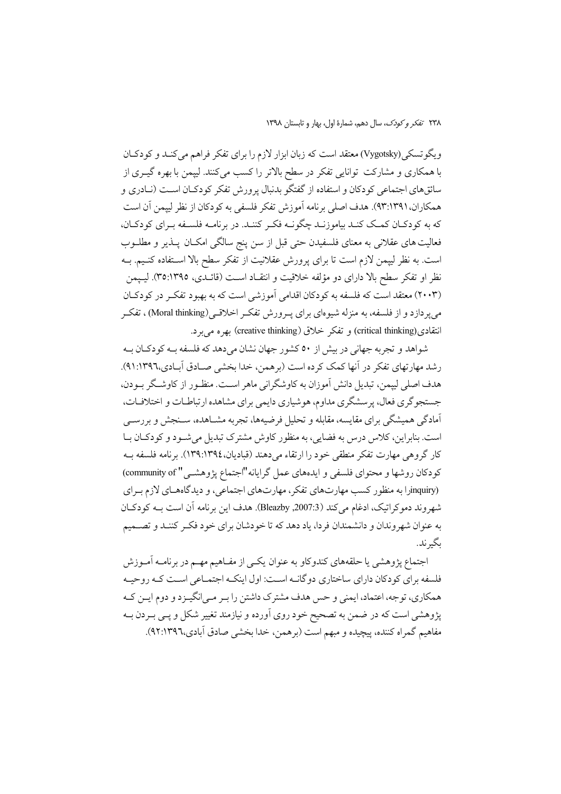٢٣٨ تفكر وكودك، سال دهم، شمارة اول، بهار و تابستان ١٣٩٨

ویگوتسکی (Vygotsky) معتقد است که زبان ابزار لازم را برای تفکر فراهم می کنـد و کودکـان با همکاری و مشارکت توانایی تفکر در سطح بالاتر را کسب میکنند. لییمن با بهره گیـری از سائقهای اجتماعی کودکان و استفاده از گفتگو بدنبال پرورش تفکر کودکـان اسـت (نـادری و همكاران،٩٣:١٣٩١). هدف اصلي برنامه أموزش تفكر فلسفي به كودكان از نظر لييمن أن است كه به كودكـان كمـك كنـد بياموزنـد چگونـه فكـر كننـد. در برنامـه فلسـفه بـراي كودكـان، فعالیت های عقلانی به معنای فلسفیدن حتی قبل از سن پنج سالگی امکـان پــذیر و مطلــوب است. به نظر ليپمن لازم است تا براي پرورش عقلانيت از تفكر سطح بالا استفاده كنـيم. بــه نظر او تفکر سطح بالا دارای دو مؤلفه خلاقیت و انتقـاد اســت (قائــدی، ٣٥:١٣٩٥). لیــپمن (۲۰۰۳) معتقد است که فلسفه به کودکان اقدامی آموزشی است که به بهبود تفکر در کودکان میپردازد و از فلسفه، به منزله شیوهای برای پــرورش تفکــر اخلاقــی(Moral thinking) ، تفکــر انتقادي(critical thinking) و تفكر خلاق (creative thinking) بهره مي برد.

شواهد و تجربه جهانی در بیش از ٥٠ كشور جهان نشان میدهد كه فلسفه بـه كودكـان بـه رشد مهارتهای تفکر در آنها کمک کرده است (برهمن، خدا بخشی صـادق آبـادی،١٣٩٦:٩١). هدف اصلی لیپمن، تبدیل دانش آموزان به کاوشگرانی ماهر است. منظـور از کاوشـگر بـودن، جستجوگري فعال، پرسشگري مداوم، هوشياري دايمي براي مشاهده ارتباطـات و اختلافـات، آمادگی همیشگی برای مقایسه، مقابله و تحلیل فرضیهها، تجربه مشـاهده، سـنجش و بررســی است. بنابراین، کلاس درس به فضایی، به منظور کاوش مشترک تبدیل میشود و کودکـان بـا كار گروهي مهارت تفكر منطقي خود را ارتقاء مي دهند (قباديان،١٣٩٤.١٣٩٤). برنامه فلسفه بـه كودكان روشها و محتواي فلسفى و ايدههاي عمل گرايانه"اجتماع يژوهشـي " community of) (inquiryرا به منظور کسب مهارتهای تفکر، مهارتهای اجتماعی، و دیدگاههـای لازم بـرای شهروند دموكراتيك، ادغام مي كند (2007.3, Bleazby). هدف اين برنامه آن است بــه كودكـان به عنوان شهروندان و دانشمندان فردا، یاد دهد که تا خودشان برای خود فکـر کننـد و تصــمیم ىگىرند.

اجتماع پژوهشی یا حلقههای کندوکاو به عنوان یکسی از مفـاهیم مهــم در برنامــه آمــوزش فلسفه برای کو دکان دارای ساختاری دوگانــه اســت: اول اینکــه اجتمــاعی اســت کــه روحیــه همکاری، توجه، اعتماد، ایمنی و حس هدف مشترک داشتن را بـر مـیانگیـزد و دوم ایـن کـه پژوهشی است که در ضمن به تصحیح خود روی آورده و نیازمند تغییر شکل و پـی بـردن بـه مفاهيم گمراه كننده، پيچيده و مبهم است (برهمن، خدا بخشي صادق آبادي،٩٢٦:١٣٩٦).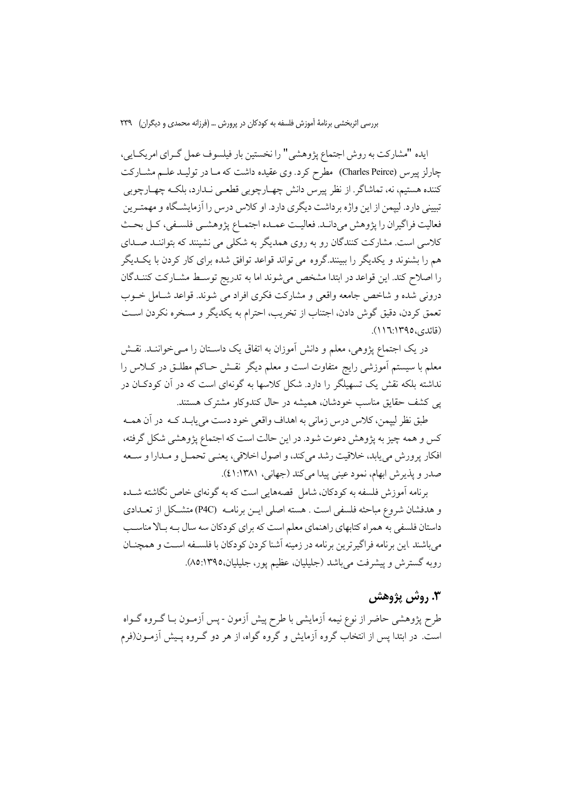ايده "مشاركت به روش اجتماع يژوهشي" را نخستين بار فيلسوف عمل گـراي امريكـايي، چارلز پیرس (Charles Peirce) مطرح کرد. وی عقیده داشت که مـا در تولیــد علــم مشــارکت كننده هستيم، نه، تماشاگر. از نظر پيرس دانش چهـارچوبي قطعـي نـدارد، بلكـه چهـارچوبي تبیینی دارد. لییمن از این واژه برداشت دیگری دارد. او کلاس درس را آزمایشگاه و مهمتـرین فعاليت فراگيران را يژوهش مي دانـد. فعاليـت عمـده اجتمـاع يژوهشـي فلسـفي، كـل بحـث کلاسی است. مشارکت کنندگان رو به روی همدیگر به شکلی می نشینند که بتواننـد صـدای هم را بشنوند و یکدیگر را ببینند.گروه می تواند قواعد توافق شده برای کار کردن با یک دیگر را اصلاح کند. این قواعد در ابتدا مشخص میشوند اما به تدریج توسط مشـارکت کننـدگان درونی شده و شاخص جامعه واقعی و مشارکت فکری افراد می شوند. قواعد شـامل خــوب تعمق كردن، دقيق گوش دادن، اجتناب از تخريب، احترام به يكديگر و مسخره نكردن اسـت (قائدي،١٣٩٥:١١٦).

در یک اجتماع پژوهی، معلم و دانش آموزان به اتفاق یک داسـتان را مـی خواننـد. نقـش معلم با سیستم آموزشی رایج متفاوت است و معلم دیگر نقـش حـاکم مطلـق در کــلاس را نداشته بلکه نقش یک تسهیلگر را دارد. شکل کلاسها به گونهای است که در آن کودکـان در یی کشف حقایق مناسب خودشان، همیشه در حال کندوکاو مشترک هستند.

طبق نظر لييمن، كلاس درس زماني به اهداف واقعي خود دست مي يابـد كــه در آن همــه کس و همه چیز به پژوهش دعوت شود. در این حالت است که اجتماع پژوهشی شکل گرفته، افكار يرورش مي يابد، خلاقيت رشد مي كند، و اصول اخلاقي، يعنـي تحمـل و مـدارا و سـعه صدر و يذيرش ابهام، نمود عيني پيدا مي كند (جهاني، ١٣٨١:٤١).

برنامه آموزش فلسفه به کودکان، شامل قصههایی است که به گونهای خاص نگاشته شــده و هدفشان شروع مباحثه فلسفى است . هسته اصلى ايــن برنامــه (P4C) متشــكل از تعــدادى داستان فلسفی به همراه کتابهای راهنمای معلم است که برای کودکان سه سال بـه بـالا مناسـب مي باشند .اين برنامه فراگير ترين برنامه در زمينه آشنا كردن كودكان با فلســفه اســت و همچنــان رويه گسترش و پيشرفت مي باشد (جليليان، عظيم يور، جليليان،١٣٩٥:٨٥).

## ۳. روش پژوهش

طرح پژوهشی حاضر از نوع نیمه آزمایشی با طرح پیش آزمون - پس آزمـون بـا گــروه گــواه است. در ابتدا پس از انتخاب گروه آزمایش و گروه گواه، از هر دو گـروه پـیش آزمـون(فرم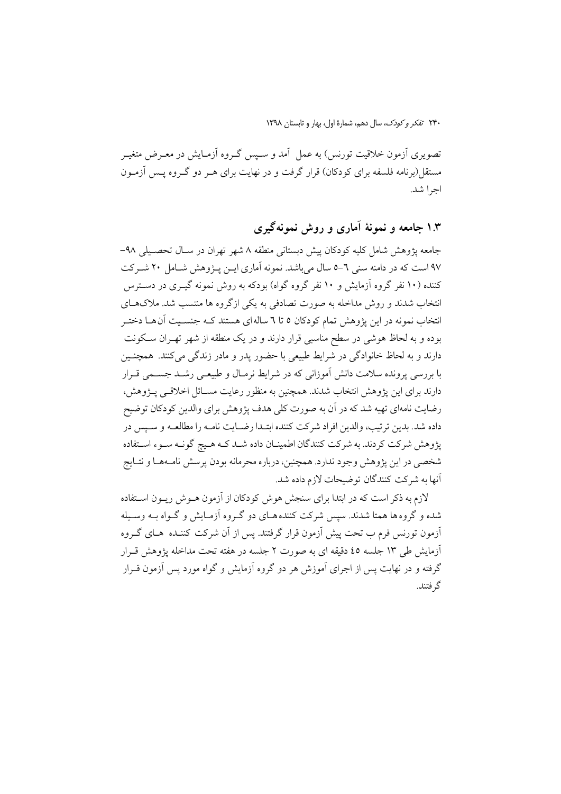تصویری آزمون خلاقیت تورنس) به عمل آمد و سـیس گـروه آزمـایش در معـرض متغیـر مستقل(برنامه فلسفه برای کودکان) قرار گرفت و در نهایت برای هــر دو گــروه پــس آزمــون اجرا شد.

# ۱.۳ جامعه و نمونهٔ آماری و روش نمونهگیری

جامعه يژوهش شامل كليه كودكان پيش دبستاني منطقه ٨ شهر تهران در سـال تحصـيلي ٩٨-۹۷ است که در دامنه سنی ٦-۵ سال میباشد. نمونه آماری ایــن پــژوهش شــامل ۲۰ شــرکت کننده (۱۰ نفر گروه آزمایش و ۱۰ نفر گروه گواه) بودکه به روش نمونه گیــری در دســترس انتخاب شدند و روش مداخله به صورت تصادفی به یکی ازگروه ها منتسب شد. ملاکهـای انتخاب نمونه در این پژوهش تمام کودکان ٥ تا ٦ ساله ای هستند کـه جنسـیت آنهـا دختـر بوده و به لحاظ هوشی در سطح مناسبی قرار دارند و در یک منطقه از شهر تهـران سـکونت دارند و به لحاظ خانوادگی در شرایط طبیعی با حضور یدر و مادر زندگی می کنند. همچنـین با بررسی پرونده سلامت دانش آموزانی که در شرایط نرمـال و طبیعـی رشــد جســمی قــرار دارند برای این پژوهش انتخاب شدند. همچنین به منظور رعایت مســائل اخلاقــی پــژوهش، رضایت نامهای تهیه شد که در آن به صورت کلی هدف پژوهش برای والدین کودکان توضیح داده شد. بدين ترتيب، والدين افراد شركت كننده ابتـدا رضـايت نامـه را مطالعـه و سـيس در پژوهش شرکت کردند. به شرکت کنندگان اطمینـان داده شـد کـه هـیچ گونـه سـوء اسـتفاده شخصی در این پژوهش وجود ندارد. همچنین، درباره محرمانه بودن پرسش نامـههـا و نتـايج آنها به شركت كنندگان توضيحات لازم داده شد.

لازم به ذکر است که در ابتدا برای سنجش هوش کودکان از آزمون هـوش ریـون اسـتفاده شده و گروه ها همتا شدند. سپس شرکت کننده هـای دو گـروه آزمـایش و گـواه بـه وسـبله أزمون تورنس فرم ب تحت پیش اّزمون قرار گرفتند. پس از اّن شرکت کننــده هــای گــروه أزمايش طي ١٣ جلسه ٤٥ دقيقه اي به صورت ٢ جلسه در هفته تحت مداخله يژوهش قـرار گرفته و در نهایت پس از اجرای آموزش هر دو گروه آزمایش و گواه مورد پس آزمون قــرار گر فتند.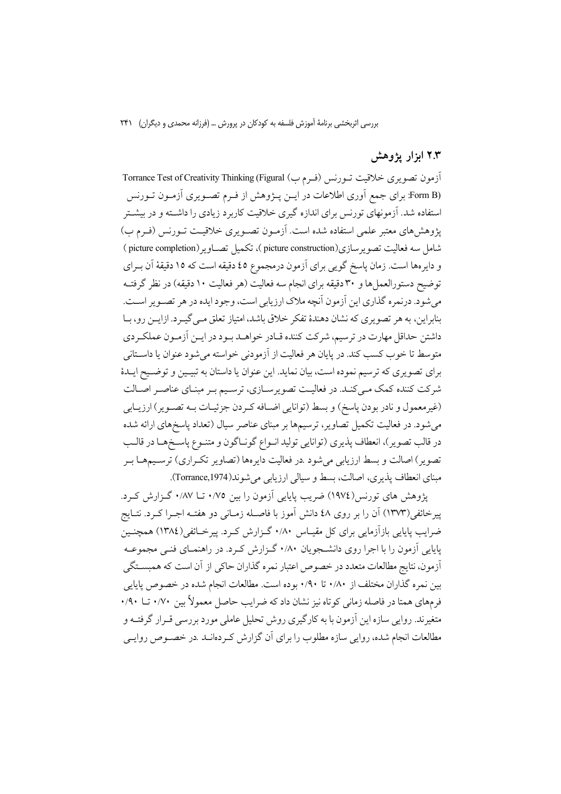# ۲.۳ ابزار یژوهش

آزمون تصويري خلاقيت تــورنس (فــرم ب) Torrance Test of Creativity Thinking (Figural (Form B: برای جمع اَوری اطلاعات در ایـن پـژوهش از فـرم تصـویری اَزمـون تـورنس استفاده شد. آزمونهای تورنس برای اندازه گیری خلاقیت کاربرد زیادی را داشته و در بیشتر یژوهش های معتبر علمی استفاده شده است. آزمـون تصـویری خلاقیـت تـورنس (فـرم ب) شامل سه فعاليت تصوير سازي(picture construction )، تكميل تصــاوير(picture completion) و دايرهها است. زمان پاسخ گويي براي آزمون درمجموع ٤٥ دقيقه است كه ١٥ دقيقهٔ آن بـراي توضيح دستورالعما ٍها و ٣٠ دقيقه براي انجام سه فعاليت (هر فعاليت ١٠ دقيقه) در نظر گرفتـه مي شود. درنمره گذاري اين آزمون آنچه ملاک ارزيابي است، وجود ايده در هر تصـوير اسـت. بنابراین، به هر تصویری که نشان دهندهٔ تفکر خلاق باشد، امتیاز تعلق مـی گیـرد. ازایــن رو، بــا داشتن حداقل مهارت در ترسیم، شرکت کننده قـادر خواهـد بـود در ایــن آزمـون عملکـردي متوسط تا خوب كسب كند. در پايان هر فعاليت از آزمودني خواسته مي شود عنوان يا داسـتاني براي تصويري كه ترسيم نموده است، بيان نمايد. اين عنوان يا داستان به تبيـين و توضـيح ايـدهٔ شرکت کننده کمک مـیکنـد. در فعالیـت تصویرسـازی، ترسـیم بـر مبنـای عناصـر اصـالت (غيرمعمول و نادر بودن پاسخ) و بسط (توانايي اضـافه كـردن جزئيـات بـه تصـوير) ارزيـابي میشود. در فعالیت تکمیل تصاویر، ترسیمها بر مبنای عناصر سیال (تعداد پاسخهای ارائه شده در قالب تصوير)، انعطاف پذيري (توانايي توليد انـواع گونـاگون و متنـوع پاسـخمـا در قالـب تصویر) اصالت و بسط ارزیابی میشود .در فعالیت دایرهها (تصاویر تکـراری) ترسـیمهــا بـر مبنای انعطاف پذیری، اصالت، بسط و سیالی ارزیابی می شوند(Torrance,1974).

پژوهش های تورنس(١٩٧٤) ضریب پایایی اَزمون را بین ٠/٧٥ تــا ٠/٨٧ گـزارش كـرد. پیرخائفی(۱۳۷۳) آن را بر روی ٤٨ دانش آموز با فاصـله زمـانی دو هفتـه اجـرا كــرد. نتـايج ضرایب پایایی بازآزمایی برای کل مقیـاس ۰/۸۰ گـزارش کـرد. پیرخــائفی(۱۳۸٤) همچنــین پایایی آزمون را با اجرا روی دانشجویان ۰/۸۰ گـزارش کـرد. در راهنمـای فنـی مجموعـه أزمون، نتايج مطالعات متعدد در خصوص اعتبار نمره گذاران حاكي از أن است كه همبســتگي بین نمره گذاران مختلف از ۰/۸۰ تا ۰/۹۰ بوده است. مطالعات انجام شده در خصوص پایایی فرمهای همتا در فاصله زمانی کوتاه نیز نشان داد که ضرایب حاصل معمولاً بین ۰/۷۰ تــا ۹۰/ متغیرند. روایی سازه این آزمون با به کارگیری روش تحلیل عاملی مورد بررسی قــرار گرفتــه و مطالعات انجام شده، روایی سازه مطلوب را برای آن گزارش کردهانـد .در خصـوص روایـی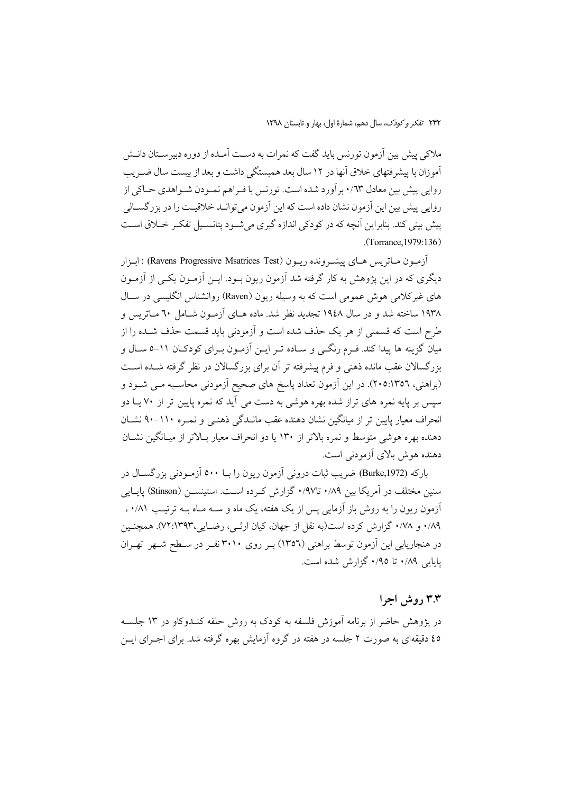ملاکی پیش بین آزمون تورنس باید گفت که نمرات به دست آمـده از دوره دبیرسـتان دانـش آموزان با پیشرفتهای خلاق آنها در ۱۲ سال بعد همبستگی داشت و بعد از بیست سال ضـریب روایی پیش بین معادل ۰/٦٣ برآورد شده است. تورنس با فـراهم نمـودن شـواهدي حـاكي از روايي پيش بين اين اّزمون نشان داده است كه اين اّزمون مي توانــد خلاقيــت را در بزر گســالي پیش پینی کند. بنابراین آنچه که در کودکی اندازه گیری می شـود پتانسـیل تفکـر خــلاق اسـت .(Torrance, 1979:136)

آزمـون مــاتريس هــاي پيشــرونده ريــون (Ravens Progressive Msatrices Test) : ابـزار دیگری که در این یژوهش به کار گرفته شد آزمون ریون بـود. ایــن آزمــون یکــی از آزمــون های غیر کلامی هوش عمومی است که به وسیله ریون (Raven) روانشناس انگلیسی در سـال ۱۹۳۸ ساخته شد و در سال ۱۹٤۸ تجدید نظر شد. ماده هـای آزمـون شـامل ٦٠ مـاتریس و طرح است که قسمتی از هر یک حذف شده است و آزمودنی باید قسمت حذف شــده را از میان گزینه ها پیدا کند. فـرم رنگــی و سـاده تــر ایــن آزمــون بــرای کودکــان ۱۱–۵ ســال و بزرگسالان عقب مانده ذهنی و فرم پیشرفته تر آن برای بزرگسالان در نظر گرفته شـده اسـت (براهنی، ۲۰۵:۱۳٥٦). در این اَزمون تعداد پاسخ های صحیح اَزمودنی محاسـبه مـی شــود و سپس بر پایه نمره های تراز شده بهره هوشی به دست می آید که نمره پایین تر از ۷۰ یـا دو انحراف معیار پایین تر از میانگین نشان دهنده عقب مانـدگی ذهنـی و نمـره ١١٠-٩٠ نشـان دهنده بهره هوشی متوسط و نمره بالاتر از ۱۳۰ یا دو انحراف معیار بـالاتر از میـانگین نشــان دهنده هوش بالای آزمودنی است.

بارکه (Burke,1972) ضریب ثبات درونی آزمون ریون را بــا ۵۰۰ آزمـودنی بزرگســال در سنین مختلف در آمریکا بین ۰/۸۹ تا۹۷/ گزارش کرده است. استینســن (Stinson) پایــایی آزمون ریون را به روش باز آزمایی پس از یک هفته، یک ماه و ســه مــاه بــه ترتیـب ۰/۸۱. ۰/۸۹ و ۰/۷۸ گزارش کرده است(به نقل از جهان، کیان ارثی، رضایی،۷۲:۱۳۹۳). همچنین در هنجاریابی این آزمون توسط براهنی (١٣٥٦) بـر روی ٣٠١٠ نفـر در سـطح شـهر تهـران یایایی ۰/۸۹ تا ۰/۹۵ گزارش شده است.

## ۳.۳ روش اجرا

در پژوهش حاضر از برنامه آموزش فلسفه به کودک به روش حلقه کنـدوکاو در ۱۳ جلســه ٤٥ دقیقهای به صورت ٢ جلسه در هفته در گروه آزمایش بهره گرفته شد. برای اجـرای ایــن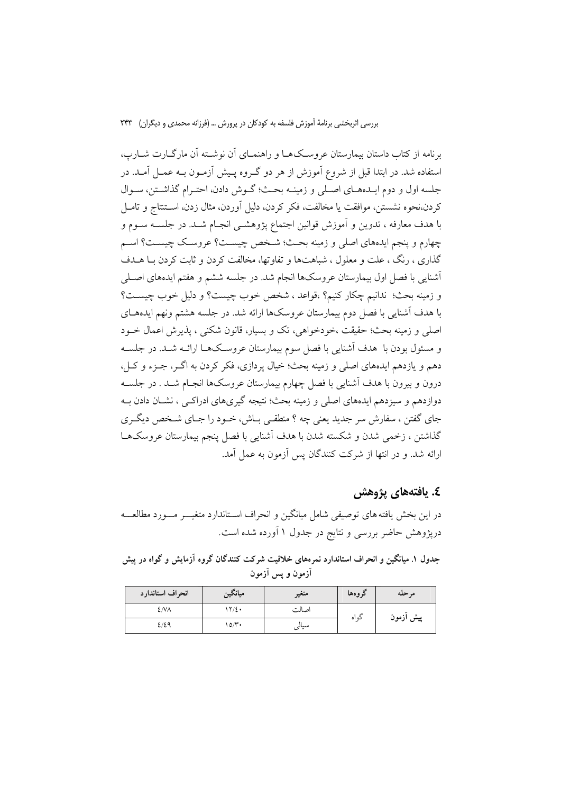برنامه از کتاب داستان بیمارستان عروسکهها و راهنمـای آن نوشـته آن مارگــارت شــارپ، استفاده شد. در ابتدا قبل از شروع آموزش از هر دو گـروه پـیش آزمـون بــه عمــل آمــد. در جلسه اول و دوم ایـدههـای اصـلی و زمینـه بحـث؛ گـوش دادن، احتـرام گذاشـتن، سـوال كردن،نحوه نشستن، موافقت يا مخالفت، فكر كردن، دليل أوردن، مثال زدن، اسـتنتاج و تامــل با هدف معارفه ، تدوین و آموزش قوانین اجتماع پژوهشـی انجـام شـد. در جلســه ســوم و چهارم و پنجم ایدههای اصلی و زمینه بحث؛ شخص چیست؟ عروسک چیست؟ اسم گذاری ، رنگ ، علت و معلول ، شباهتها و تفاوتها، مخالفت کردن و ثابت کردن بـا هــدف أشنايي با فصل اول بيمارستان عروسكها انجام شد. در جلسه ششم و هفتم ايدههاي اصـلي و زمينه بحث؛ ندانيم چكار كنيم؟ ،قواعد ، شخص خوب چيست؟ و دليل خوب چيسـت؟ با هدف آشنایی با فصل دوم بیمارستان عروسکها ارائه شد. در جلسه هشتم ونهم ایدههـای اصلي و زمينه بحث؛ حقيقت ،خودخواهي، تک و بسيار، قانون شکني ، پذيرش اعمال خــود و مسئول بودن با ِ هدف اَشنایی با فصل سوم بیمارستان عروسکهـا ارائــه شــد. در جلســه دهم و یازدهم ایدههای اصلی و زمینه بحث؛ خیال پردازی، فکر کردن به اگـر، جـزء و کـل، درون و بیرون با هدف آشنایی با فصل چهارم بیمارستان عروسکها انجـام شـد . در جلسـه دوازدهم و سیزدهم ایدههای اصلی و زمینه بحث؛ نتیجه گیریهای ادراکـی ، نشــان دادن بــه جای گفتن ، سفارش سر جدید یعنی چه ؟ منطقبی بـاش، خــود را جــای شــخص دیگــری گذاشتن ، زخمي شدن و شكسته شدن با هدف آشنايي با فصل ينجم بيمارستان عروسك هـا ارائه شد. و در انتها از شرکت کنندگان پس آزمون به عمل آمد.

## ٤. يافتەھاي پژوهش

در این بخش یافته های توصیفی شامل میانگین و انحراف اسـتاندارد متغیـــر مـــورد مطالعـــه دریژوهش حاضر بررسی و نتایج در جدول ۱ آورده شده است.

جدول ۱. میانگین و انحراف استاندارد نمرههای خلاقیت شرکت کنندگان گروه آزمایش و گواه در پیش آزمون ويس آزمون

| انحراف استاندارد | ميانگين       | متغير | كروهفا | مر حله    |
|------------------|---------------|-------|--------|-----------|
| ٤N٨              | $\frac{1}{2}$ | اصالت |        |           |
| ٤١٤٩             | $0/\tilde{C}$ | سیالی | ئو اه  | پیش ازمون |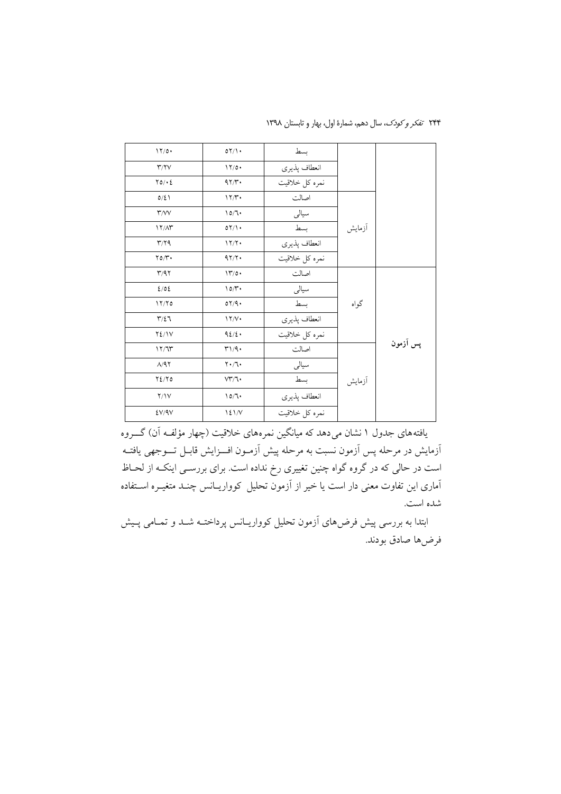| 17/0.                   | 07/1              | بسط            |        |          |
|-------------------------|-------------------|----------------|--------|----------|
| Y/Y                     | 17/0.             | انعطاف پذيري   |        |          |
| $\Upsilon$ 0/ $\cdot$ 2 | 47/4              | نمره كل خلاقيت |        |          |
| $0/\xi$                 | 17/T              | اصالت          |        |          |
| $\mathsf{r}$ /VV        | 10/7              | سيالى          |        |          |
| $17/\Lambda$ ۳          | 07/1              | بسط            | أزمايش |          |
| Y/Y                     | 17/7              | انعطاف پذيري   |        |          |
| $\gamma$                | 97/7              | نمره كل خلاقيت |        |          |
| T/97                    | 17/0.             | اصالت          |        |          |
| 2/02                    | 10/r              | سيالي          |        |          |
| 17/70                   | 07/9.             | بسط            | گواه   |          |
| $\Upsilon/\Sigma$       | 17/V              | انعطاف پذيري   |        |          |
| $Y\S$ / $V$             | 92/2.             | نمره كل خلاقيت |        |          |
| 17/T                    | T1/9.             | اصالت          |        | پس آزمون |
| A/97                    | $Y \cdot T \cdot$ | سيالى          |        |          |
| $Y\Sigma/Y$             | VT/7              | بسط            | أزمايش |          |
| Y/IV                    | 10/7              | انعطاف پذيري   |        |          |
| EV/9V                   | 121/V             | نمره كل خلاقيت |        |          |

۲۴۴ تفکر و کودک، سال دهم، شمارهٔ اول، بهار و تابستان ۱۳۹۸

یافتههای جدول ۱ نشان می دهد که میانگین نمرههای خلاقیت (چهار مؤلف آن) گـــروه أزمايش در مرحله پس أزمون نسبت به مرحله پيش أزمـون افــزايش قابـل تـــوجهي يافتــه است در حالی که در گروه گواه چنین تغییری رخ نداده است. برای بررســی اینکــه از لحــاظ آماری این تفاوت معنی دار است یا خیر از آزمون تحلیل کوواریــانس چنــد متغیــره اســتفاده شده است.

ابتدا به بررسی پیش فرضهای آزمون تحلیل کوواریـانس پرداختـه شـد و تمـامی پـیش فرض ها صادق بودند.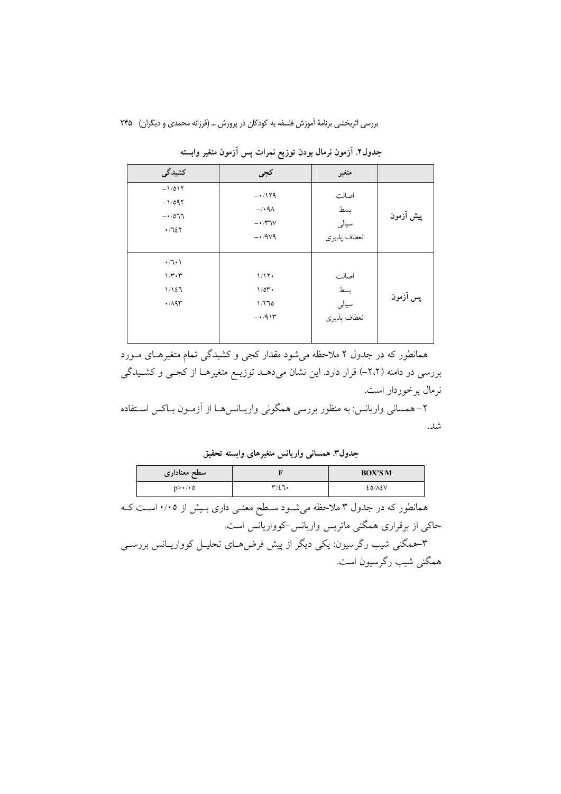| کشیدگی                        | كجى                   | متغير        |           |
|-------------------------------|-----------------------|--------------|-----------|
| $-1/017$                      | $-1179$               | اصالت        | پیش آزمون |
| $-1/097$                      | $-\prime$ . 9 $\land$ | بسط          |           |
| $-1077$                       | $- \cdot \pi v$       | سيالى        |           |
| .7127                         | $-1.9V9$              | انعطاف پذيري |           |
| $\cdot$ / $\cdot$ )           | 1/17                  | اصالت        | پس آزمون  |
| $1/\mathbf{r}\cdot\mathbf{r}$ | 1/01                  | بسط          |           |
| 1/127                         | 1/770                 | سيالى        |           |
| $\cdot$ /195                  | $-1/9$                | انعطاف پذيري |           |

جدول۲. آزمون نرمال بودن توزیع نمرات پس آزمون متغیر وابسته

همانطور که در جدول ۲ ملاحظه می شود مقدار کجی و کشیدگی تمام متغیرهای مـورد بررسی در دامنه (۲،۲–) قرار دارد. این نشان میدهـد توزیـع متغیرهـا از کجـی و کشـیدگی نرمال برخوردار است.

۲– همسانی واریانس: به منظور بررسی همگونی واریـانسهـا از آزمـون بـاکس اسـتفاده شد .

جدول٣. همسانی واریانس متغیرهای وابسته تحقیق

| سطح معناداري          |                           | <b>BOX'S M</b> |
|-----------------------|---------------------------|----------------|
| $n > \cdot / \cdot 0$ | $\mathbf{r}/\mathbf{r}$ . | EO/AEV         |

همانطور که در جدول ۳ ملاحظه میشـود سـطح معنـی داری بـیش از ۰/۰۵ اسـت کـه ۔<br>حاکی از برقراری همگنی ماتریس واریانس-کوواریانس است.

۳-همگنی شیب رگرسیون: یکی دیگر از پیش فرض۵های تحلیـل کوواریــانس بررســی همگنی شیب رگرسیون است.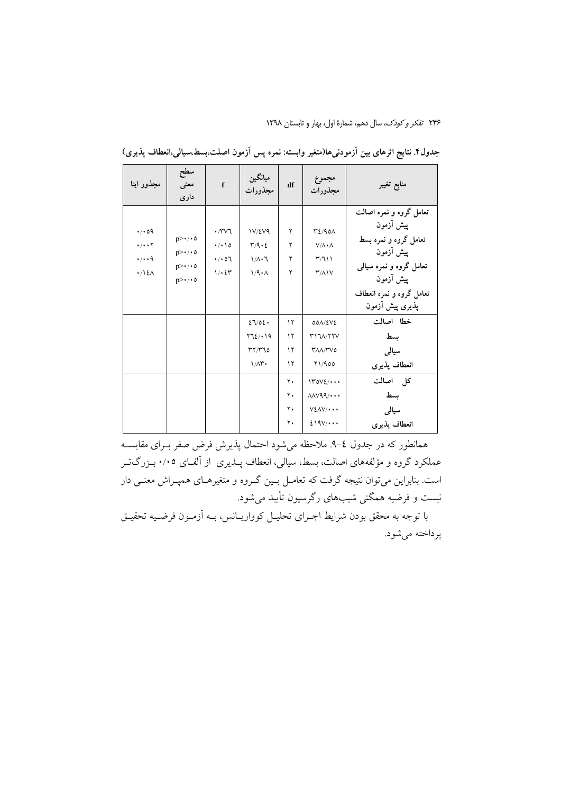۲۴۶ تفکر و کودک، سال دهم، شمارهٔ اول، بهار و تابستان ۱۳۹۸

| مجذور ايتا                                                            | سطح<br>معنى<br>دارى                                                              | $\mathbf{f}$                                       | ميانگين<br>مجذورات                                                                   | df                               | مجموع<br>مجذورات                                                                                        | منابع تغيير                                                                                                                                                       |
|-----------------------------------------------------------------------|----------------------------------------------------------------------------------|----------------------------------------------------|--------------------------------------------------------------------------------------|----------------------------------|---------------------------------------------------------------------------------------------------------|-------------------------------------------------------------------------------------------------------------------------------------------------------------------|
| 4.09<br>$\cdot/\cdot\cdot\mathsf{Y}$<br>$\cdot/\cdot\cdot$ 9<br>.715A | $p>\cdot/\cdot o$<br>$p>\cdot/\cdot o$<br>$p>\cdot/\cdot o$<br>$p>\cdot/\cdot$ 0 | ۰/۳۷٦<br>$\cdot/\cdot \setminus o$<br>.401<br>1/25 | 1V/EV9<br>$\tau$ /9 . 2<br>$1/\lambda \cdot 7$<br>1/9.1                              | ٢<br>٢<br>٢<br>۲                 | $P_{\epsilon}/90\Lambda$<br>$V/\Lambda \cdot \Lambda$<br>T/T<br>$\mathsf{r}/\mathsf{\Lambda}\mathsf{V}$ | تعامل گروه و نمره اصالت<br>پیش أزمون<br>تعامل گروه و نمره بسط<br>پیش أزمون<br>تعامل گروه و نمره سیالی<br>پیش أزمون<br>تعامل گروه و نمره انعطاف<br>پذیری پیش أزمون |
|                                                                       |                                                                                  |                                                    | 27/02.<br>۲٦٤/٠١٩<br>$\mathsf{r}\mathsf{r}\mathsf{n}\mathsf{r}$ 10<br>$1/\Lambda$ r. | ۱۲<br>۱۲<br>۱۲<br>۱۲             | $00\Lambda/\Sigma V\Sigma$<br><b>MITA/TYV</b><br><b>TAA/TVO</b><br>Y1/900                               | خطا اصالت<br>بسط<br>سيالى<br>انعطاف يذيرى                                                                                                                         |
|                                                                       |                                                                                  |                                                    |                                                                                      | ۲.<br>٢.<br>$\mathbf{y}$ .<br>٢٠ | 140V<br>$\text{MV99}/\cdots$<br>$V\S$ $\wedge$ $V$ $\cdots$<br>219V/                                    | كل اصالت<br>بسط<br>سیالی<br>انعطاف يذيرى                                                                                                                          |

جدول۴ نتایج اثرهای بین اَزمودنی۱ها(متغیر وابسته: نمره پس اَزمون اصلت،بسط،سیالی،انعطاف پذیری)

همانطور که در جدول ٤–٩. ملاحظه مي شود احتمال پذيرش فرض صفر بـراي مقايســه عملکرد گروه و مؤلفههای اصالت، بسط، سیالی، انعطاف پــذیری از آلفــای ۰/۰۵ بــزرگ<code>تــر</code> است. بنابراین می توان نتیجه گرفت که تعامــل بــین گــروه و متغیرهــای همپــراش معنــی دار نیست و فرضیه همگنی شیبهای رگرسیون تأیید میشود.

با توجه به محقق بودن شرايط اجـراي تحليــل كوواريــانس، بــه أزمــون فرضـيه تحقيــق پرداخته میشود.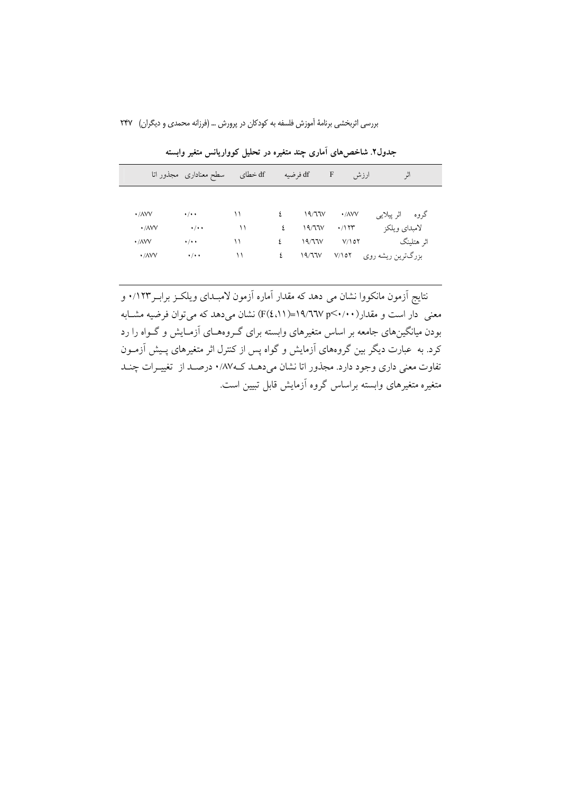بررسی اثربخشی برنامهٔ آموزش فلسفه به کودکان در پرورش … (فرزانه محمدی و دیگران) ۲۴۷

|                           | سطح معناداري ً مجذور اتا | df خطای | df فرضيه |        | $\mathbf{F}$<br>ارزش      | اثر               |
|---------------------------|--------------------------|---------|----------|--------|---------------------------|-------------------|
|                           |                          |         |          |        |                           |                   |
| $\cdot$ / $\land\lor\lor$ | $\cdot$ / $\cdot$ +      | ۱۱      | ٤        | 19/77V | $\cdot$ / $\wedge$ $\vee$ | گروه اثرپیلایی    |
| $\cdot$ / $\land\lor\lor$ | $\cdot$ / $\cdot$ +      | ۱۱      | ٤        | 19/771 | $\cdot$ /۱۲۳              | لامبداي ويلكز     |
| $\cdot$ / $\land\lor\lor$ | $\cdot$ / $\cdot$ +      | ۱۱      | ٤        | 19/77V | $V/\Delta\gamma$          | اثر هتلينگ        |
| $\cdot$ / $\land$ $\lor$  | $\cdot$ / $\cdot$ +      | ۱۱      | ٤        | 19/77V | $V/\Omega Y$              | بزرگترین ریشه روی |

جدول۲. شاخصهای آماری چند متغیره در تحلیل کوواریانس متغیر وابسته

نتايج اّزمون مانكووا نشان مي دهد كه مقدار اّماره اّزمون لامبـداي ويلكـز برابـر١٢٣/٠ و معنی دار است و مقدار(۰۰۰×۲۹/۲٦۷=(۱۱،£)F) نشان می دهد که می توان فرضیه مشـابه بودن میانگینهای جامعه بر اساس متغیرهای وابسته برای گـروههـای آزمـایش و گـواه را رد کرد. به عبارت دیگر بین گروههای آزمایش و گواه پس از کنترل اثر متغیرهای پـیش آزمــون تفاوت معنی داری وجود دارد. مجذور اتا نشان میدهـد کـ۱۸۷، درصـد از تغییـرات چنـد .<br>متغیره متغیرهای وابسته براساس گروه آزمایش قابل تبیین است.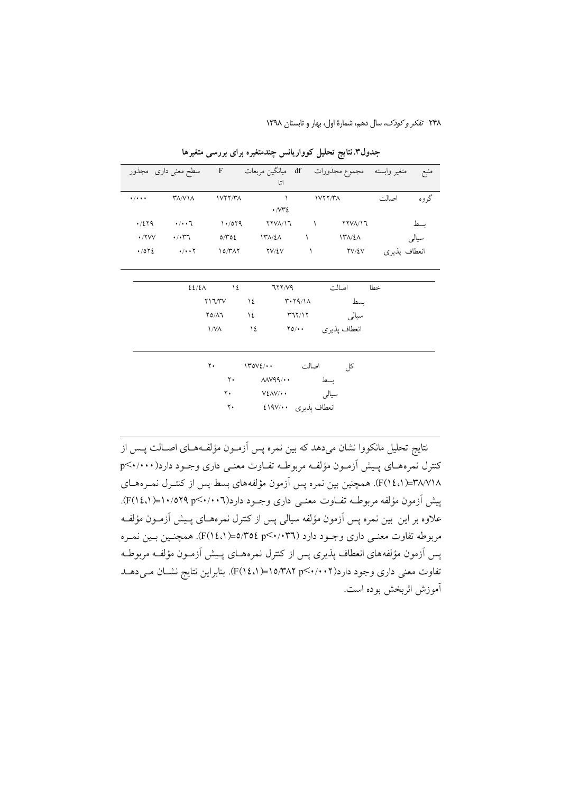٢۴٨ تفكر وكودك، سال دهم، شمارة اول، بهار و تابستان ١٣٩٨

|                             |                                                                                                                                                                                                                                                                                                                     |                     | اتا                                               |                  | منبع      متغير وابسته    مجموع مجذورات      df    ميانگين مربعات         F        سطح معنى دارى   مجذور |  |
|-----------------------------|---------------------------------------------------------------------------------------------------------------------------------------------------------------------------------------------------------------------------------------------------------------------------------------------------------------------|---------------------|---------------------------------------------------|------------------|----------------------------------------------------------------------------------------------------------|--|
| $\cdot$ / $\cdot$ + $\cdot$ | <b>TA/VIA</b>                                                                                                                                                                                                                                                                                                       | 1V17/T <sub>A</sub> | $\sim$ $\sim$<br>$\cdot$ $\sim$ $\sim$ $\epsilon$ | VYY/Y            | گروه<br>اصالت                                                                                            |  |
|                             | $\frac{1}{2}$ $\frac{1}{2}$ $\frac{1}{2}$ $\frac{1}{2}$ $\frac{1}{2}$ $\frac{1}{2}$ $\frac{1}{2}$ $\frac{1}{2}$ $\frac{1}{2}$ $\frac{1}{2}$ $\frac{1}{2}$ $\frac{1}{2}$ $\frac{1}{2}$ $\frac{1}{2}$ $\frac{1}{2}$ $\frac{1}{2}$ $\frac{1}{2}$ $\frac{1}{2}$ $\frac{1}{2}$ $\frac{1}{2}$ $\frac{1}{2}$ $\frac{1}{2}$ |                     |                                                   |                  | بسط                                                                                                      |  |
|                             |                                                                                                                                                                                                                                                                                                                     |                     |                                                   |                  | سیالی ۱۳۸/٤۸ ۱ ۱۳۸/٤۸ ۱۳۸/٤۸ ۰/۲۷۷ ۰/۰۳٦ میرانی ۱۳۸۷                                                     |  |
|                             |                                                                                                                                                                                                                                                                                                                     |                     |                                                   |                  | انعطاف پذیری ۲۷/٤۷ - ۲۷/٤۷ - ۲۷/٤۷ - ۰/۰۰۲ - ۱۵/۳۸۲ - ۰/۵۲٤                                              |  |
|                             |                                                                                                                                                                                                                                                                                                                     | $22/2\lambda$ 12    |                                                   | خطا اصالت ٦٢٢/٧٩ |                                                                                                          |  |
|                             |                                                                                                                                                                                                                                                                                                                     |                     | $Y17/YY$ $Y2$ $Y+Y9/1A$                           |                  |                                                                                                          |  |
|                             |                                                                                                                                                                                                                                                                                                                     |                     | $\gamma_0/\lambda$ ۳۹۲/۱۲ سیالی ۲۵/۸              |                  |                                                                                                          |  |
|                             |                                                                                                                                                                                                                                                                                                                     |                     | انعطاف پذیری ۲۵/۰۰ ۱۷۸                            |                  |                                                                                                          |  |
|                             |                                                                                                                                                                                                                                                                                                                     |                     | كل اصالت ١٣٥٧٤/٠٠ ٢٠                              |                  |                                                                                                          |  |
|                             |                                                                                                                                                                                                                                                                                                                     | $\mathsf{Y}$        | بسط ٨٨٧٩٩/٠٠                                      |                  |                                                                                                          |  |
|                             |                                                                                                                                                                                                                                                                                                                     |                     | ۳۰ میلای ۷٤۸۷/۰۰                                  |                  |                                                                                                          |  |
|                             |                                                                                                                                                                                                                                                                                                                     | ۲۰                  | انعطاف پذیری ٤١٩٧/٠٠                              |                  |                                                                                                          |  |

جدول۳.نتایج تحلیل کوواریانس چندمتغیره برای بررسی متغیرها

نتايج تحليل مانكووا نشان مىدهد كه بين نمره پس آزمـون مؤلفـههـاى اصـالت پــس از کنترل نمرههـای پـیش آزمـون مؤلفـه مربوطـه تفـاوت معنـی داری وجـود دارد(۰۰۰۰×.p ٣٨/٧١٨=(٢(١٤،١). همچنين بين نمره پس اَزمون مؤلفههاي بسط پس از كنتـرل نمـرههـاي پیش آزمون مؤلفه مربوطـه تفـاوت معنـی داری وجـود دارد(۲۰۰۲-۲۰/۵۲۹ (۲/۱٤/۱). علاوه بر این بین نمره پس آزمون مؤلفه سیالی پس از کنترل نمرههـای پـیش آزمـون مؤلفـه مربوطه تفاوت معنـي داري وجـود دارد (٣٦٠/٠٣٦)<0=(١،١٤/١). همچنـين بـين نمـره پس آزمون مؤلفههای انعطاف پذیری پس از کنترل نمرههـای پـیش آزمـون مؤلفـه مربوطـه تفاوت معنی داری وجود دارد(۰۰۲×۲>۰/۴۸۲=(۱٤،۱). بنابراین نتایج نشـان مـی۵هـد آموزش اثربخش بوده است.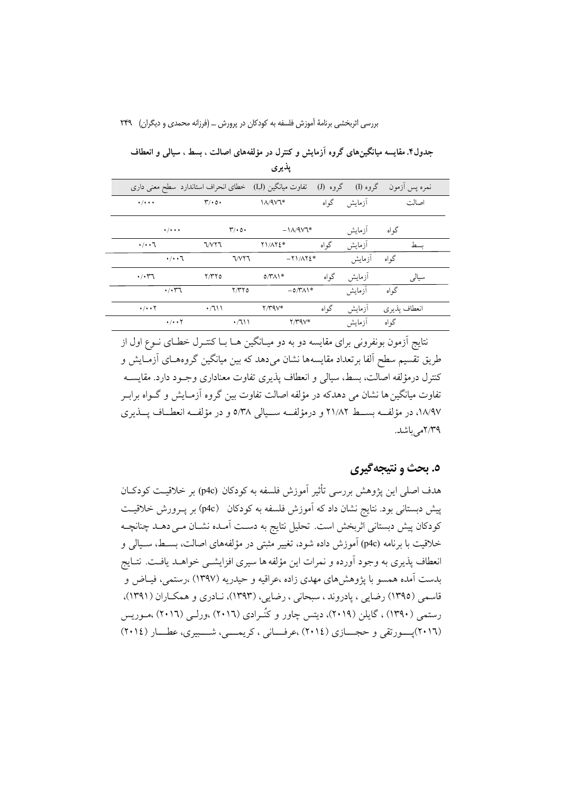بررسی اثربخشی برنامهٔ آموزش فلسفه به کودکان در پرورش … (فرزانه محمدی و دیگران) ۲۴۹

|                                         | تفاوت میانگین (I,J) خطای انحراف استاندارد سطح معنی داری |                      | گروه (J) | گروه (I) | نمره پس أزمون |
|-----------------------------------------|---------------------------------------------------------|----------------------|----------|----------|---------------|
| $\cdot$ / $\cdot$ + $\cdot$             | $\mathbf{r}/\cdot \mathbf{0}$                           | $1/\sqrt{4V}$        | گو اه    | آزمايش   | اصالت         |
| $\bullet$ / $\bullet$ + $\bullet$       | $\mathbf{r}/\cdot \mathbf{0}$                           | $-\frac{1}{4}$       |          | أزمايش   | گو اه         |
| $\cdot/\cdot\cdot7$                     | <b>T/VYT</b>                                            | <b>TI/ATE*</b>       | گواه     | أزمايش   | ىسط           |
| $\cdot/\cdot\cdot7$                     | <b>J/VYJ</b>                                            | $-Y1/\Lambda Y\S$ *  |          | أزمايش   | گواه          |
| $\cdot$ / $\cdot$ $\uparrow$ $\uparrow$ | Y/YY0                                                   | $0/\gamma\Lambda$    | گو اه    | أزمايش   | سيالى         |
| $\cdot$ / $\cdot$ ry                    | Y/YY0                                                   | $-0$ /۳ $\Lambda$ 1* |          | أزمايش   | گواه          |
| $\cdot$ / $\cdot$ $\cdot$ $\cdot$       | $\cdot$ /711                                            | $Y/Y$ 9 $V^*$        | گواه     | أزمايش   | انعطاف پذيري  |
| $\cdot/\cdot\cdot$ Y                    | $\cdot$ /111                                            | $Y/Y$ ۹ $V^*$        |          | آ; مایش  | گه اه         |

جدول۴. مقایسه میانگینهای گروه آزمایش و کنترل در مؤلفههای اصالت ، بسط ، سیالی و انعطاف پذیری

نتایج آزمون بونفرونی برای مقایسه دو به دو میـانگین هـا بـا کنتـرل خطـای نــوع اول از طريق تقسيم سطح الفا برتعداد مقايسهها نشان مىدهد كه بين ميانگين گروههـاى اَزمـايش و كنترل درمؤلفه اصالت، بسط، سيالي و انعطاف پذيري تفاوت معناداري وجـود دارد. مقايســه تفاوت میانگین ها نشان می دهدکه در مؤلفه اصالت تفاوت بین گروه آزمـایش و گــواه برابــر ١٨/٩٧، در مؤلف بسط ٢١/٨٢ و درمؤلف سيالي ٥/٣٨ و در مؤلف انعطاف پــذيري ٢/٣٩م باشد.

### ٥. بحث و نتيجهگيري

هدف اصلي اين يژوهش بررسي تأثير آموزش فلسفه به كودكان (p4c) بر خلاقيـت كودكــان پیش دبستانی بود. نتایج نشان داد که آموزش فلسفه به کودکان (p4c) بر پــرورش خلاقیــت كودكان پيش دبستاني اثربخش است. تحليل نتايج به دسـت آمـده نشـان مـي دهـد چنانچـه خلاقیت با برنامه (p4c) آموزش داده شود، تغییر مثبتی در مؤلفههای اصالت، بسـط، سـیالی و انعطاف پذیری به وجود آورده و نمرات این مؤلفه ها سیری افزایشــی خواهــد یافــت. نتــایج بدست آمده همسو با یژوهش های مهدی زاده ،عراقیه و حیدریه (۱۳۹۷) ،رستمی، فیـاض و قاسمی (۱۳۹۵) رضایی ، پادروند ، سبحانی ، رضایی، (۱۳۹۳)، نـادری و همکـاران (۱۳۹۱)، رستمی (۱۳۹۰) ، گایلن (۲۰۱۹)، دیتس چاور و کُنـرادی (۲۰۱٦) ،ورلـی (۲۰۱٦) ،مــوریس (٢٠١٦) يسورتقى و حجسازى (٢٠١٤) ،عرفسانى ، كريمسى، شسبيرى، عطسار (٢٠١٤)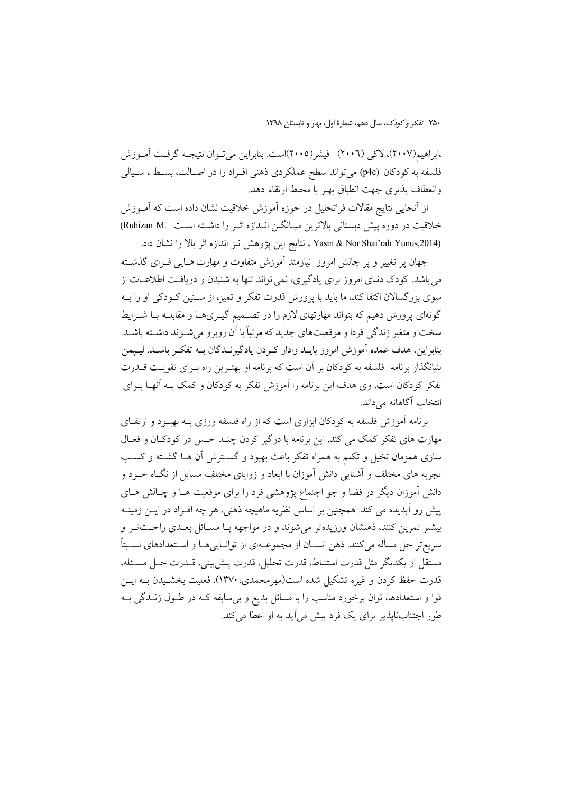،ابراهيم(٢٠٠٧)، لاکي (٢٠٠٦) فيشر(٢٠٠٥)است. بنابراين مي تــوان نتيجــه گرفــت آمــوزش فلسفه به کودکان (p4c) میتواند سطح عملکردی ذهنی افـراد را در اصـالت، بسـط ، سـيالی وانعطاف يذيري جهت انطباق بهتر با محيط ارتقاء دهد.

از اّنجایی نتایج مقالات فراتحلیل در حوزه اّموزش خلاقیت نشان داده است که اّمــوزش خلاقیت در دوره پیش دبستانی بالاترین میـانگین انــدازه اثــر را داشــته اســت .Ruhizan M) (Yasin & Nor Shai'rah Yunus,2014 ، نتايج اين يژوهش نيز اندازه اثر بالا را نشان داد.

.<br>جهان پر تغییر و پر چالش امروز نیازمند آموزش متفاوت و مهارت هـایی فـرای گذشــته می باشد. کودک دنیای امروز برای یادگیری، نمی تواند تنها به شنیدن و دریافت اطلاعــات از سوی بزرگسالان اکتفا کند، ما باید با پرورش قدرت تفکر و تمیز، از ســنین کــودکی او را بــه گونهای پرورش دهیم که بتواند مهارتهای لازم را در تصـمیم گیـریهـا و مقابلــه بــا شــرایط سخت و متغیر زندگی فردا و موقعیتهای جدید که مرتباً با آن روبرو می شــوند داشــته باشــد. بنابراين، هدف عمده اَموزش امروز بايــد وادار كــردن يادگيرنــدگان بــه تفكــر باشــد. ليــيمن بنیانگذار برنامه فلسفه به کودکان بر آن است که برنامه او بهتـرین راه بـرای تقویـت قــدرت تفکر کودکان است. وی هدف این برنامه را آموزش تفکر به کودکان و کمک بــه آنهــا بــرای انتخاب آگاهانه می داند.

برنامه آموزش فلسفه به کودکان ابزاری است که از راه فلسفه ورزی بـه بهبـود و ارتقـای مهارت های تفکر کمک می کند. این برنامه با درگیر کردن چنـد حـس در کودکـان و فعـال سازی همزمان تخیل و تکلم به همراه تفکر باعث بهبود و گسـترش آن هـا گشـته و کسـب تجربه های مختلف و آشنایی دانش آموزان با ابعاد و زوایای مختلف مسایل از نگـاه خــود و دانش آموزان دیگر در فضا و جو اجتماع پژوهشی فرد را برای موقعیت هـا و چـالش هـای پیش رو آبدیده می کند. همچنین بر اساس نظریه ماهیچه ذهنی، هر چه افـراد در ایــن زمینــه بیشتر تمرین کنند، ذهنشان ورزیدهتر می شوند و در مواجهه بـا مســائل بعــدی راحــتتــر و سريعتر حل مسأله مي كنند. ذهن انســان از مجموعــهاي از توانــاييهــا و اســتعدادهاي نســبتاً مستقل از يكديگر مثل قدرت استنباط، قدرت تحليل، قدرت پيش بيني، قــدرت حــل مســئله، قدرت حفظ کردن و غیره تشکیل شده است(مهرمحمدی، ۱۳۷۰). فعلیت بخشـیدن بــه ایــن قوا و استعدادها، توان برخورد مناسب را با مسائل بدیع و بی سابقه کـه در طــول زنــدگی بــه طور اجتنابنایذیر برای یک فرد پیش می آید به او اعطا می کند.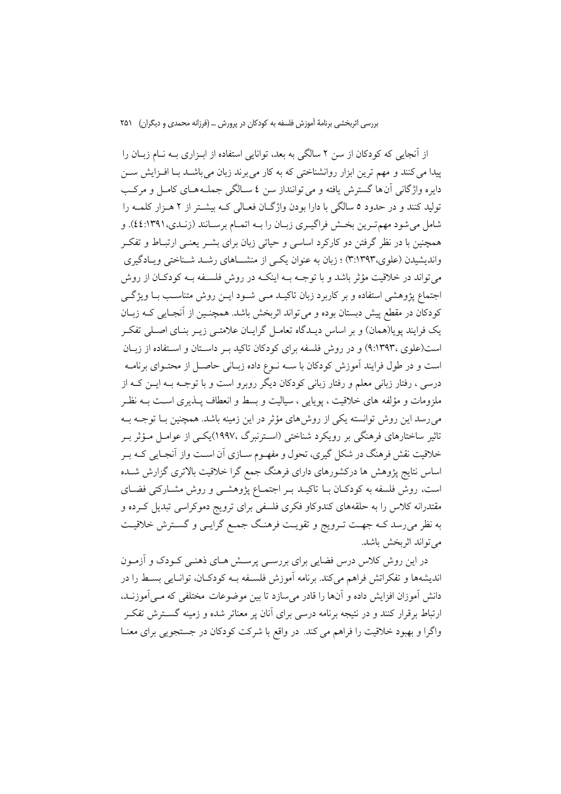از آنجایی که کودکان از سن ۲ سالگی به بعد، توانایی استفاده از ابـزاری بــه نــام زبــان را ییدا می کنند و مهم ترین ابزار روانشناختی که به کار می برند زبان می باشــد بــا افــزایش ســن دایره واژگانی آن ها گسترش یافته و می تواننداز سن ٤ سـالگی جملـههـای کامـل و مرکـب تولید کنند و در حدود ۵ سالگی با دارا بودن واژگـان فعـالی کـه بیشـتر از ۲ هـزار کلمـه را شامل می شود مهم ترین بخش فراگیـری زبـان را بـه اتمـام برسـانند (زنـدی،١٣٩١:٤٤). و همچنین با در نظر گرفتن دو کارکرد اساسی و حیاتی زبان برای بشــر یعنــی ارتبــاط و تفکــر واندیشیدن (علوی،۳۹۳:۳) ؛ زبان به عنوان یکسی از منشـــاهای رشــد شــناختی ویــادگیری می تواند در خلاقیت مؤثر باشد و با توجــه بــه اینکــه در روش فلســفه بــه کودکــان از روش اجتماع پژوهشی استفاده و بر کاربرد زبان تاکیـد مـی شـود ایـن روش متناسـب بـا ویژگـی کودکان در مقطع پیش دبستان بوده و می تواند اثربخش باشد. همچنـین از آنجـایی کــه زبــان یک فرایند پویا(همان) و بر اساس دیـدگاه تعامـل گرایـان علامتـی زیـر بنـای اصـلی تفکـر است(علوی ،۹:۱۳۹۳) و در روش فلسفه برای کودکان تاکید به داستان و استفاده از زبان است و در طول فرایند آموزش کودکان با ســه نــوع داده زبــانی حاصــل از محتــوای برنامــه درسی ، رفتار زبانی معلم و رفتار زبانی کودکان دیگر روبرو است و با توجـه بـه ایــن کـه از ملزومات و مؤلفه های خلاقیت ، یوپایی ، سیالیت و بسط و انعطاف پــذیری اســت بــه نظـر می رسد این روش توانسته یکی از روش های مؤثر در این زمینه باشد. همچنین بــا توجــه بــه تاثیر ساختارهای فرهنگی بر رویکرد شناختی (اسـترنبرگ ،۱۹۹۷)یکـی از عوامـل مـؤثر بـر خلاقیت نقش فرهنگ در شکل گیری، تحول و مفهـوم ســازی أن اســت واز أنجـایی کــه بــر اساس نتایج پژوهش ها درکشورهای دارای فرهنگ جمع گرا خلاقیت بالاتری گزارش شــده است، روش فلسفه به کودکـان بـا تاکیـد بـر اجتمـاع پژوهشـی و روش مشـارکتی فضـای مقتدرانه کلاس را به حلقههای کندوکاو فکری فلسفی برای ترویج دموکراسی تبدیل کـرده و به نظر میرسد کـه جهـت تـرویج و تقویـت فرهنـگ جمـع گرایـی و گسـترش خلاقیـت مي تواند اثربخش باشد.

در این روش کلاس درس فضایی برای بررسـی پرسـش هـای ذهنـی کـودک و آزمـون اندیشهها و تفکراتش فراهم میکند. برنامه آموزش فلسـفه بـه کودکـان، توانـایی بسـط را در دانش آموزان افزایش داده و آنها را قادر میسازد تا بین موضوعات مختلفی که میآموزنـد، ارتباط برقرار کنند و در نتیجه برنامه درسی برای آنان پر معناتر شده و زمینه گسـترش تفکـر واگرا و بهبود خلاقیت را فراهم می کند. در واقع با شرکت کودکان در جستجویی برای معنـا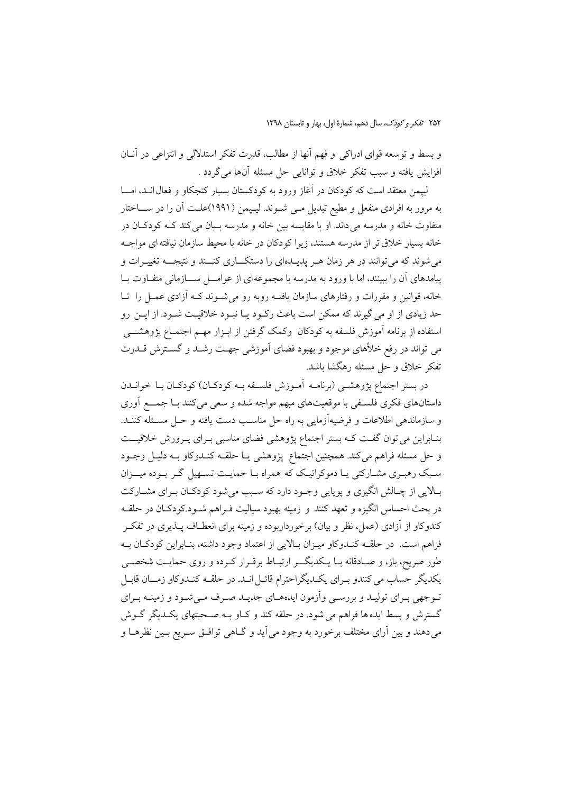و بسط و توسعه قواي ادراكي و فهم آنها از مطالب، قدرت تفكر استدلالي و انتزاعي در آنــان افزايش يافته و سبب تفكر خلاق و توانايي حل مسئله آنها مي گردد .

لپیمن معتقد است که کودکان در آغاز ورود به کودکستان بسیار کنجکاو و فعال انــد، امـــا به مرور به افرادی منفعل و مطیع تبدیل مـی شـوند. لیـپمن (۱۹۹۱)علـت آن را در ســـاختار متفاوت خانه و مدرسه می داند. او با مقایسه بین خانه و مدرسه بـیان می کند کـه کودکـان در خانه بسیار خلاق تر از مدرسه هستند، زیرا کودکان در خانه با محیط سازمان نیافته ای مواجـه می شوند که می توانند در هر زمان هـر پدیــدهای را دستکـــاری کنـــند و نتیجـــه تغییــرات و پیامدهای آن را ببینند، اما با ورود به مدرسه با مجموعهای از عوامـــل ســــازمانی متفــاوت بــا خانه، قوانین و مقررات و رفتارهای سازمان یافتـه روبه رو می شـوند کـه آزادی عمـل را تـا حد زیادی از او می گیرند که ممکن است باعث رکـود یـا نبـود خلاقیـت شـود. از ایـن رو استفاده از برنامه آموزش فلسفه به کودکان ۖ وکمک گرفتن از ابـزار مهـم اجتمـاع پژوهشــــی می تواند در رفع خلأهای موجود و بهبود فضای آموزشی جهت رشـد و گسـترش قــدرت تفکر خلاق و حل مسئله رهگشا باشد.

در بستر اجتماع پژوهشـی (برنامــه آمــوزش فلســفه بــه کودکــان) کودکــان بــا خوانــدن داستانهای فکری فلسـفی با موقعیتهای مبهم مواجه شده و سعی میکنند بـا جمـــع آوری و سازماندهی اطلاعات و فرضیهآزمایی به راه حل مناسب دست یافته و حـل مسـئله کننـد. بنـابراین می توان گفـت کـه بستر اجتماع پژوهشی فضای مناسبی بـرای پـرورش خلاقیــت و حل مسئله فراهم میکند. همچنین اجتماع پژوهشی یـا حلقـه کنـدوکاو بـه دلیـل وجـود سبک رهبری مشـارکتی یـا دموکراتیـک که همراه بـا حمایـت تسـهیل گـر بـوده میــزان بالایی از چالش انگیزی و پویایی وجود دارد که سبب می شود کودکان برای مشارکت در بحث احساس انگیزه و تعهد کنند و زمینه بهبود سیالیت فــراهم شــود.کودکــان در حلقــه کندوکاو از آزادی (عمل، نظر و بیان) برخورداربوده و زمینه برای انعطــاف پــذیری در تفکــر فراهم است. در حلقـه كنـدوكاو ميـزان بـالايي از اعتماد وجود داشته، بنـابراين كودكـان بـه طور صریح، باز، و صـادقانه بــا یــکدیگـــر ارتبــاط برقــرار کــرده و روی حمایــت شخصــی یکدیگر حساب می کنندو بـرای یکـدیگراحترام قائـل انـد. در حلقــه کنـدوکاو زمــان قابـل تـوجهي بـراي توليـد و بررسـي واّزمون ايدههـاي جديـد صـرف مـي شـود و زمينـه بـراي گسترش و بسط ایده ها فراهم می شود. در حلقه کند و کـاو بــه صـحبتهای یکـدیگر گــوش میدهند و بین آرای مختلف برخورد به وجود می آید و گـاهی توافـق سـریع بـین نظرهـا و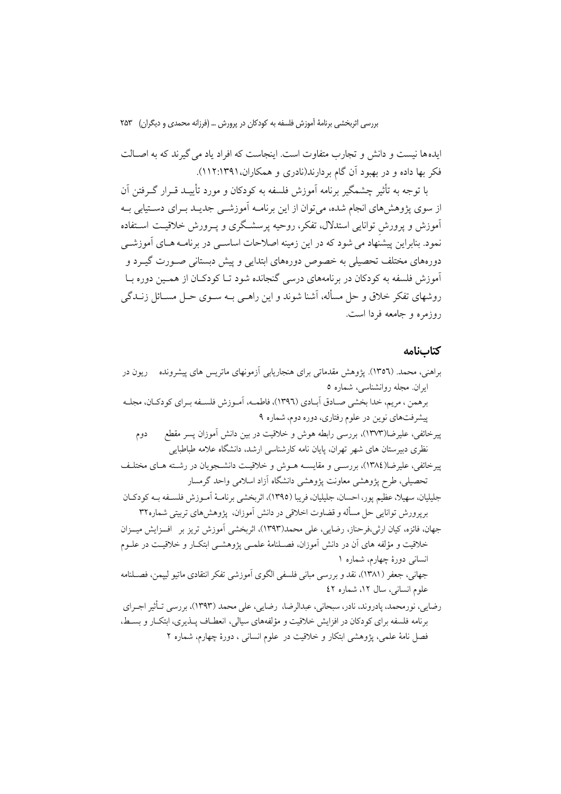ایدهها نیست و دانش و تجارب متفاوت است. اینجاست که افراد یاد می گیرند که به اصـالت فکر بها داده و در بهبود آن گام بردارند(نادری و همکاران،۱۲۹۱:۱۲۹۱).

با توجه به تأثیر چشمگیر برنامه آموزش فلسفه به کودکان و مورد تأییـد قــرار گــرفتن آن از سوی پژوهش های انجام شده، می توان از این برنامــه آموزشــی جدیــد بــرای دســتیابی بــه آموزش و پرورش توانایی استدلال، تفکر، روحیه پرسشگری و پــرورش خلاقیــت اســتفاده نمود. بنابراین پیشنهاد می شود که در این زمینه اصلاحات اساســی در برنامــه هــای آموزشــی دورههای مختلف تحصیلی به خصوص دورههای ابتدایی و پیش دبستانی صـورت گیــرد و .<br>آموزش فلسفه به کودکان در برنامههای درسی گنجانده شود تــا کودکــان از همــین دوره بــا روشهای تفکر خلاق و حل مسأله، آشنا شوند و این راهـی بــه ســوی حــل مســائل زنــدگی روزمره و جامعه فردا است.

#### كتابنامه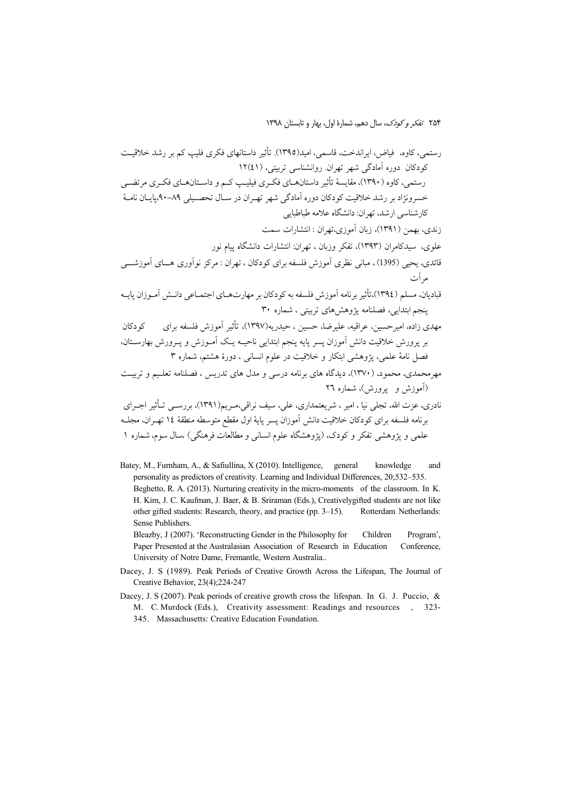۲۵۴ *تفکر و کودک*، سال دهم، شمارهٔ اول، بهار و تابستان ۱۳۹۸

 +,-. (5 | \$ !62 4j/ .(1395 ( ) [#72, [+.( % [{ [< [#762 )41(12 [#6/ #2\* 
 . !/ !5 #=8 <
 #ä/ \$  62 | \$ 62 4j/-%D [(1390) <
[#762 - %[ 89 -90 #LM/ N2 !/ !5 #=8 < +,-. (5 
. #%^:^: -\_< : !/ [(5 #2\*5 +72 0 6 : !/[8 [(1391) &7! [( G < 0 6 : !/ [ 
 \$/ [(1393) (2 [\_ #58  8 " : !/ [ 8 Y #^ [ (1395 ) #M% [(Ü, 08 % 8 1 #\_76@ 0! 8 [(4j/ 1394) [%^, 30 <75 [ #6/ 1
 \*L [#% (6 H\* 8 4j/ [( 1397)%(l [ &l [p\_ [, \_ [&l [< (! [62! 

 8 o% l #% (6 H\* % 8 1 +,-. 3 <75 [ 6 a
 [ # G\_ +,-. 
 \$6 # [#7\_ - IL +/ 
 F/ \*L [ ;%(/  N( 
 #2  <=(% [(1370) [7M [(7M! 26 <75 [(

 8) @ 4j/ #2 [(1391 ) %[#, w2 [#\_ [ (76F%5 [ [ #H/ [ñ 0"\_ [ H [ !/ 14 -DJ\*J26 ZJD N
 -% 8 1 +,-. 1 <75 [G2 N2[ (# \* 0FgJ # G\_ < 
) [~ 
 \$/ #

 #7\_

Batey, M., Furnham, A., & Safiullina, X (2010). Intelligence, general knowledge and personality as predictors of creativity. Learning and Individual Differences, 20;532–535. Beghetto, R. A. (2013). Nurturing creativity in the micro-moments of the classroom. In K. H. Kim, J. C. Kaufman, J. Baer, & B. Sriraman (Eds.), Creativelygifted students are not like other gifted students: Research, theory, and practice (pp. 3-15). Rotterdam Netherlands: Sense Publishers.

Bleazby, J (2007). 'Reconstructing Gender in the Philosophy for Children Program', Paper Presented at the Australasian Association of Research in Education Conference, University of Notre Dame, Fremantle, Western Australia..

- Dacey, J. S (1989). Peak Periods of Creative Growth Across the Lifespan, The Journal of Creative Behavior, 23(4);224-247
- Dacey, J. S (2007). Peak periods of creative growth cross the lifespan. In G. J. Puccio, & M. C. Murdock (Eds.), Creativity assessment: Readings and resources , 323-
	- 345. Massachusetts: Creative Education Foundation.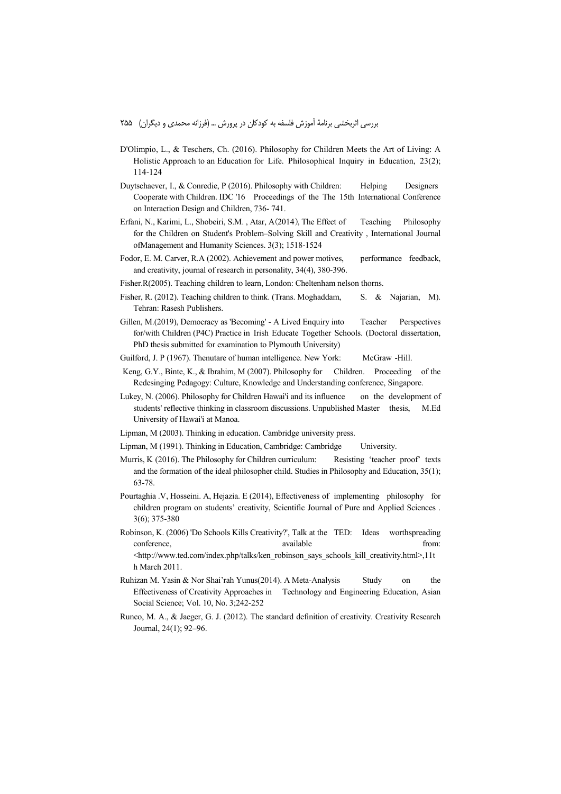- D'Olimpio, L., & Teschers, Ch. (2016). Philosophy for Children Meets the Art of Living: A Holistic Approach to an Education for Life. Philosophical Inquiry in Education, 23(2); 114-124
- Duytschaever, I., & Conredie, P (2016). Philosophy with Children: Helping Designers Cooperate with Children. IDC '16 Proceedings of the The 15th International Conference on Interaction Design and Children, 736- 741.
- Erfani, N., Karimi, L., Shobeiri, S.M. , Atar, A(2014), The Effect of Teaching Philosophy for the Children on Student's Problem–Solving Skill and Creativity , International Journal ofManagement and Humanity Sciences. 3(3); 1518-1524
- Fodor, E. M. Carver, R.A (2002). Achievement and power motives, performance feedback, and creativity, journal of research in personality, 34(4), 380-396.
- Fisher.R(2005). Teaching children to learn, London: Cheltenham nelson thorns.
- Fisher, R. (2012). Teaching children to think. (Trans. Moghaddam, S. & Najarian, M). Tehran: Rasesh Publishers.
- Gillen, M.(2019), Democracy as 'Becoming' A Lived Enquiry into Teacher Perspectives for/with Children (P4C) Practice in Irish Educate Together Schools. (Doctoral dissertation, PhD thesis submitted for examination to Plymouth University)
- Guilford, J. P (1967). Thenutare of human intelligence. New York: McGraw -Hill.
- Keng, G.Y., Binte, K., & Ibrahim, M (2007). Philosophy for Children. Proceeding of the Redesinging Pedagogy: Culture, Knowledge and Understanding conference, Singapore.
- Lukey, N. (2006). Philosophy for Children Hawai'i and its influence on the development of students' reflective thinking in classroom discussions. Unpublished Master thesis, M.Ed University of Hawai'i at Manoa.
- Lipman, M (2003). Thinking in education. Cambridge university press.
- Lipman, M (1991). Thinking in Education, Cambridge: Cambridge University.
- Murris, K (2016). The Philosophy for Children curriculum: Resisting 'teacher proof' texts and the formation of the ideal philosopher child. Studies in Philosophy and Education, 35(1); 63-78.
- Pourtaghia .V, Hosseini. A, Hejazia. E (2014), Effectiveness of implementing philosophy for children program on students' creativity, Scientific Journal of Pure and Applied Sciences . 3(6); 375-380
- Robinson, K. (2006) 'Do Schools Kills Creativity?', Talk at the TED: Ideas worthspreading conference, available from: <http://www.ted.com/index.php/talks/ken\_robinson\_says\_schools\_kill\_creativity.html>,11t
	- h March 2011.
- Ruhizan M. Yasin & Nor Shai'rah Yunus(2014). A Meta-Analysis Study on the Effectiveness of Creativity Approaches in Technology and Engineering Education, Asian Social Science; Vol. 10, No. 3;242-252
- Runco, M. A., & Jaeger, G. J. (2012). The standard definition of creativity. Creativity Research Journal, 24(1); 92–96.